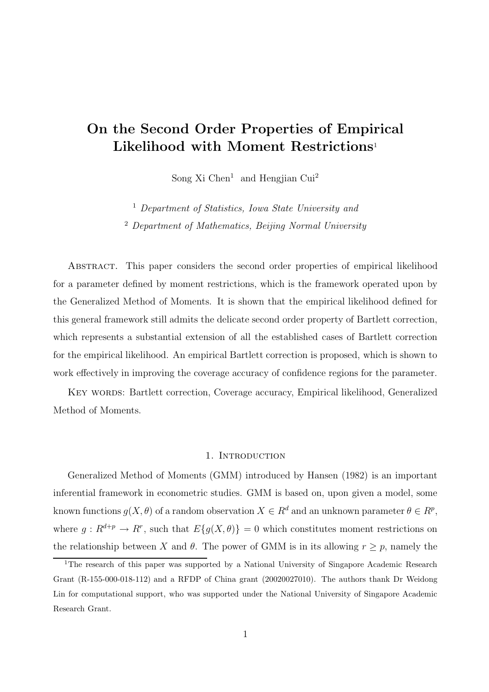# On the Second Order Properties of Empirical Likelihood with Moment Restrictions<sup>1</sup>

Song Xi Chen<sup>1</sup> and Hengjian Cui<sup>2</sup>

<sup>1</sup> Department of Statistics, Iowa State University and <sup>2</sup> Department of Mathematics, Beijing Normal University

Abstract. This paper considers the second order properties of empirical likelihood for a parameter defined by moment restrictions, which is the framework operated upon by the Generalized Method of Moments. It is shown that the empirical likelihood defined for this general framework still admits the delicate second order property of Bartlett correction, which represents a substantial extension of all the established cases of Bartlett correction for the empirical likelihood. An empirical Bartlett correction is proposed, which is shown to work effectively in improving the coverage accuracy of confidence regions for the parameter.

KEY WORDS: Bartlett correction, Coverage accuracy, Empirical likelihood, Generalized Method of Moments.

### 1. INTRODUCTION

Generalized Method of Moments (GMM) introduced by Hansen (1982) is an important inferential framework in econometric studies. GMM is based on, upon given a model, some known functions  $g(X, \theta)$  of a random observation  $X \in \mathbb{R}^d$  and an unknown parameter  $\theta \in \mathbb{R}^p$ , where  $g: R^{d+p} \to R^r$ , such that  $E\{g(X, \theta)\}=0$  which constitutes moment restrictions on the relationship between X and  $\theta$ . The power of GMM is in its allowing  $r \geq p$ , namely the

<sup>&</sup>lt;sup>1</sup>The research of this paper was supported by a National University of Singapore Academic Research Grant (R-155-000-018-112) and a RFDP of China grant (20020027010). The authors thank Dr Weidong Lin for computational support, who was supported under the National University of Singapore Academic Research Grant.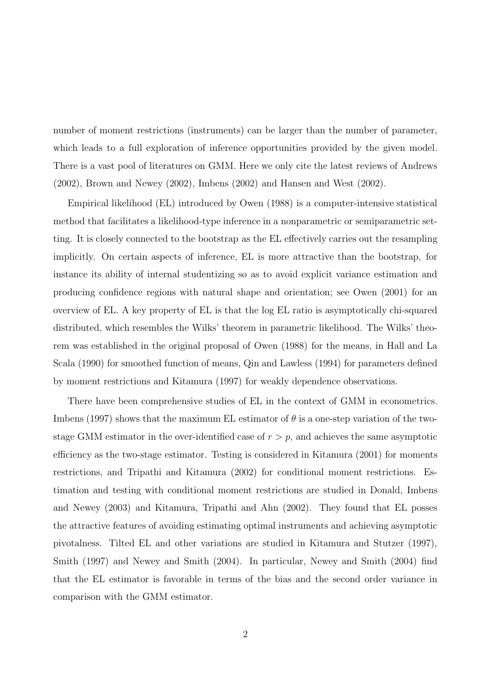number of moment restrictions (instruments) can be larger than the number of parameter, which leads to a full exploration of inference opportunities provided by the given model. There is a vast pool of literatures on GMM. Here we only cite the latest reviews of Andrews (2002), Brown and Newey (2002), Imbens (2002) and Hansen and West (2002).

Empirical likelihood (EL) introduced by Owen (1988) is a computer-intensive statistical method that facilitates a likelihood-type inference in a nonparametric or semiparametric setting. It is closely connected to the bootstrap as the EL effectively carries out the resampling implicitly. On certain aspects of inference, EL is more attractive than the bootstrap, for instance its ability of internal studentizing so as to avoid explicit variance estimation and producing confidence regions with natural shape and orientation; see Owen (2001) for an overview of EL. A key property of EL is that the log EL ratio is asymptotically chi-squared distributed, which resembles the Wilks' theorem in parametric likelihood. The Wilks' theorem was established in the original proposal of Owen (1988) for the means, in Hall and La Scala (1990) for smoothed function of means, Qin and Lawless (1994) for parameters defined by moment restrictions and Kitamura (1997) for weakly dependence observations.

There have been comprehensive studies of EL in the context of GMM in econometrics. Imbens (1997) shows that the maximum EL estimator of  $\theta$  is a one-step variation of the twostage GMM estimator in the over-identified case of  $r > p$ , and achieves the same asymptotic efficiency as the two-stage estimator. Testing is considered in Kitamura (2001) for moments restrictions, and Tripathi and Kitamura (2002) for conditional moment restrictions. Estimation and testing with conditional moment restrictions are studied in Donald, Imbens and Newey (2003) and Kitamura, Tripathi and Ahn (2002). They found that EL posses the attractive features of avoiding estimating optimal instruments and achieving asymptotic pivotalness. Tilted EL and other variations are studied in Kitamura and Stutzer (1997), Smith (1997) and Newey and Smith (2004). In particular, Newey and Smith (2004) find that the EL estimator is favorable in terms of the bias and the second order variance in comparison with the GMM estimator.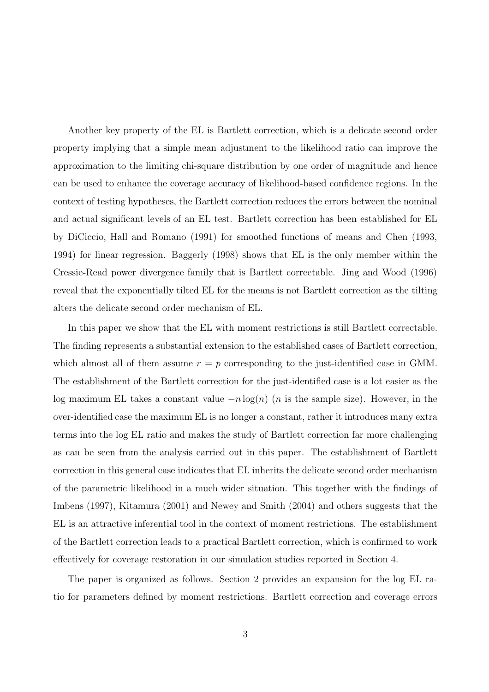Another key property of the EL is Bartlett correction, which is a delicate second order property implying that a simple mean adjustment to the likelihood ratio can improve the approximation to the limiting chi-square distribution by one order of magnitude and hence can be used to enhance the coverage accuracy of likelihood-based confidence regions. In the context of testing hypotheses, the Bartlett correction reduces the errors between the nominal and actual significant levels of an EL test. Bartlett correction has been established for EL by DiCiccio, Hall and Romano (1991) for smoothed functions of means and Chen (1993, 1994) for linear regression. Baggerly (1998) shows that EL is the only member within the Cressie-Read power divergence family that is Bartlett correctable. Jing and Wood (1996) reveal that the exponentially tilted EL for the means is not Bartlett correction as the tilting alters the delicate second order mechanism of EL.

In this paper we show that the EL with moment restrictions is still Bartlett correctable. The finding represents a substantial extension to the established cases of Bartlett correction, which almost all of them assume  $r = p$  corresponding to the just-identified case in GMM. The establishment of the Bartlett correction for the just-identified case is a lot easier as the log maximum EL takes a constant value  $-n \log(n)$  (*n* is the sample size). However, in the over-identified case the maximum EL is no longer a constant, rather it introduces many extra terms into the log EL ratio and makes the study of Bartlett correction far more challenging as can be seen from the analysis carried out in this paper. The establishment of Bartlett correction in this general case indicates that EL inherits the delicate second order mechanism of the parametric likelihood in a much wider situation. This together with the findings of Imbens (1997), Kitamura (2001) and Newey and Smith (2004) and others suggests that the EL is an attractive inferential tool in the context of moment restrictions. The establishment of the Bartlett correction leads to a practical Bartlett correction, which is confirmed to work effectively for coverage restoration in our simulation studies reported in Section 4.

The paper is organized as follows. Section 2 provides an expansion for the log EL ratio for parameters defined by moment restrictions. Bartlett correction and coverage errors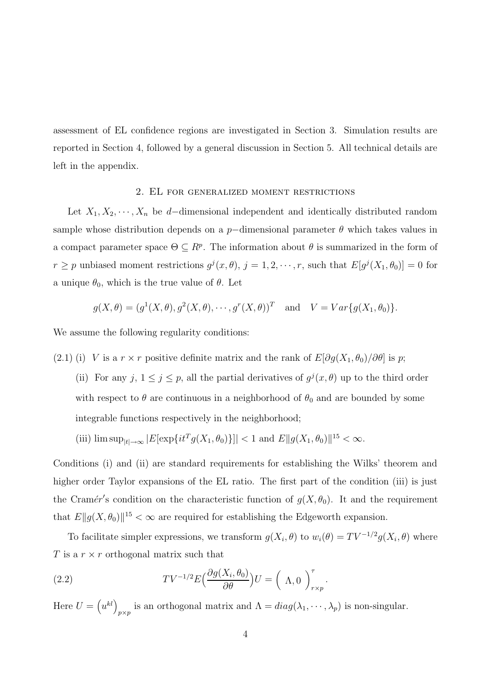assessment of EL confidence regions are investigated in Section 3. Simulation results are reported in Section 4, followed by a general discussion in Section 5. All technical details are left in the appendix.

#### 2. EL for generalized moment restrictions

Let  $X_1, X_2, \cdots, X_n$  be d–dimensional independent and identically distributed random sample whose distribution depends on a  $p$ -dimensional parameter  $\theta$  which takes values in a compact parameter space  $\Theta \subseteq R^p$ . The information about  $\theta$  is summarized in the form of  $r \geq p$  unbiased moment restrictions  $g^{j}(x, \theta), j = 1, 2, \dots, r$ , such that  $E[g^{j}(X_{1}, \theta_{0})] = 0$  for a unique  $\theta_0$ , which is the true value of  $\theta$ . Let

$$
g(X, \theta) = (g^1(X, \theta), g^2(X, \theta), \cdots, g^r(X, \theta))^T
$$
 and  $V = Var\{g(X_1, \theta_0)\}.$ 

We assume the following regularity conditions:

- (2.1) (i) V is a  $r \times r$  positive definite matrix and the rank of  $E[\partial g(X_1, \theta_0)/\partial \theta]$  is p;
	- (ii) For any  $j, 1 \leq j \leq p$ , all the partial derivatives of  $g^{j}(x, \theta)$  up to the third order with respect to  $\theta$  are continuous in a neighborhood of  $\theta_0$  and are bounded by some integrable functions respectively in the neighborhood;
	- (iii)  $\limsup_{|t| \to \infty} |E[\exp\{it^T g(X_1, \theta_0)\}]| < 1$  and  $E||g(X_1, \theta_0)||^{15} < \infty$ .

Conditions (i) and (ii) are standard requirements for establishing the Wilks' theorem and higher order Taylor expansions of the EL ratio. The first part of the condition (iii) is just the Cramér's condition on the characteristic function of  $g(X, \theta_0)$ . It and the requirement that  $E||g(X, \theta_0)||^{15} < \infty$  are required for establishing the Edgeworth expansion.

To facilitate simpler expressions, we transform  $g(X_i, \theta)$  to  $w_i(\theta) = TV^{-1/2}g(X_i, \theta)$  where T is a  $r \times r$  orthogonal matrix such that

(2.2) 
$$
TV^{-1/2}E\left(\frac{\partial g(X_i, \theta_0)}{\partial \theta}\right)U = \left(\Lambda, 0\right)_{r \times p}^{\tau}.
$$

Here  $U = (u^{kl})$ p×p is an orthogonal matrix and  $\Lambda = diag(\lambda_1, \dots, \lambda_p)$  is non-singular.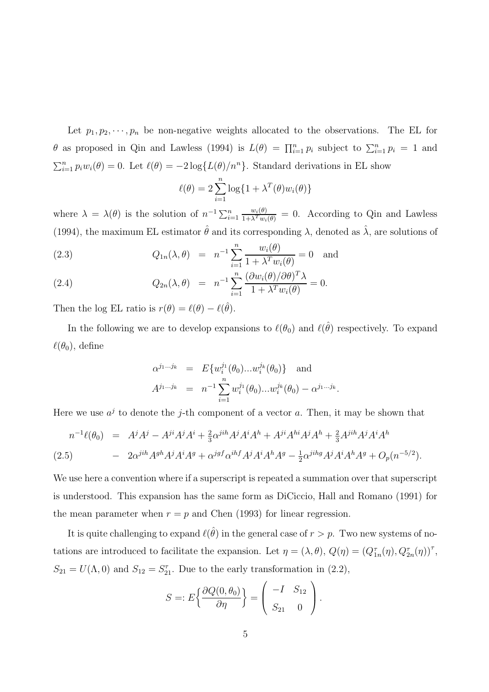Let  $p_1, p_2, \dots, p_n$  be non-negative weights allocated to the observations. The EL for  $\theta$  as proposed in Qin and Lawless (1994) is  $L(\theta) = \prod_{i=1}^n p_i$  subject to  $\sum_{i=1}^n p_i = 1$  and  $\sum_{i=1}^{n} p_i w_i(\theta) = 0$ . Let  $\ell(\theta) = -2 \log\{L(\theta)/n^n\}$ . Standard derivations in EL show

$$
\ell(\theta) = 2 \sum_{i=1}^{n} \log\{1 + \lambda^{T}(\theta) w_i(\theta)\}
$$

where  $\lambda = \lambda(\theta)$  is the solution of  $n^{-1} \sum_{i=1}^n \frac{w_i(\theta)}{1 + \lambda^T w_i(\theta)} = 0$ . According to Qin and Lawless (1994), the maximum EL estimator  $\hat{\theta}$  and its corresponding  $\lambda$ , denoted as  $\hat{\lambda}$ , are solutions of

(2.3) 
$$
Q_{1n}(\lambda, \theta) = n^{-1} \sum_{i=1}^{n} \frac{w_i(\theta)}{1 + \lambda^T w_i(\theta)} = 0 \text{ and}
$$

(2.4) 
$$
Q_{2n}(\lambda, \theta) = n^{-1} \sum_{i=1}^{n} \frac{(\partial w_i(\theta)/\partial \theta)^T \lambda}{1 + \lambda^T w_i(\theta)} = 0.
$$

Then the log EL ratio is  $r(\theta) = \ell(\theta) - \ell(\hat{\theta})$ .

In the following we are to develop expansions to  $\ell(\theta_0)$  and  $\ell(\hat{\theta})$  respectively. To expand  $\ell(\theta_0)$ , define

$$
\alpha^{j_1...j_k} = E\{w_i^{j_1}(\theta_0)...w_i^{j_k}(\theta_0)\} \text{ and}
$$
  

$$
A^{j_1...j_k} = n^{-1} \sum_{i=1}^n w_i^{j_1}(\theta_0)...w_i^{j_k}(\theta_0) - \alpha^{j_1...j_k}.
$$

Here we use  $a^j$  to denote the j-th component of a vector a. Then, it may be shown that

$$
n^{-1}\ell(\theta_0) = A^j A^j - A^{ji} A^j A^i + \frac{2}{3} \alpha^{jih} A^j A^i A^h + A^{ji} A^{hi} A^j A^h + \frac{2}{3} A^{jih} A^j A^i A^h
$$
  
(2.5) 
$$
- 2\alpha^{jih} A^{gh} A^j A^i A^g + \alpha^{jgf} \alpha^{ihf} A^j A^i A^h A^g - \frac{1}{2} \alpha^{jihg} A^j A^i A^h A^g + O_p(n^{-5/2}).
$$

We use here a convention where if a superscript is repeated a summation over that superscript is understood. This expansion has the same form as DiCiccio, Hall and Romano (1991) for the mean parameter when  $r = p$  and Chen (1993) for linear regression.

It is quite challenging to expand  $\ell(\hat{\theta})$  in the general case of  $r > p$ . Two new systems of notations are introduced to facilitate the expansion. Let  $\eta = (\lambda, \theta), Q(\eta) = (Q_{1n}^{\tau}(\eta), Q_{2n}^{\tau}(\eta))^{\tau}$ ,  $S_{21} = U(\Lambda, 0)$  and  $S_{12} = S_{21}^{\tau}$ . Due to the early transformation in (2.2),

$$
S =: E\left\{\frac{\partial Q(0, \theta_0)}{\partial \eta}\right\} = \left(\begin{array}{cc} -I & S_{12} \\ S_{21} & 0 \end{array}\right).
$$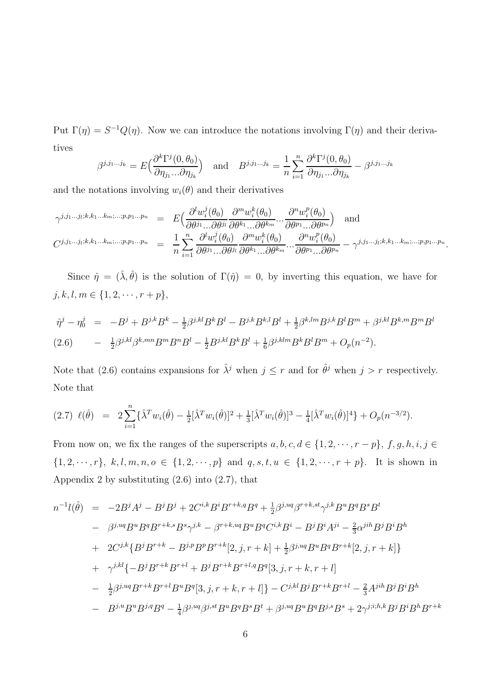Put  $\Gamma(\eta) = S^{-1}Q(\eta)$ . Now we can introduce the notations involving  $\Gamma(\eta)$  and their derivatives

$$
\beta^{j,j_1...j_k} = E\Big(\frac{\partial^k \Gamma^j(0,\theta_0)}{\partial \eta_{j_1}...\partial \eta_{j_k}}\Big) \quad \text{and} \quad B^{j,j_1...j_k} = \frac{1}{n} \sum_{i=1}^n \frac{\partial^k \Gamma^j(0,\theta_0)}{\partial \eta_{j_1}...\partial \eta_{j_k}} - \beta^{j,j_1...j_k}
$$

and the notations involving  $w_i(\theta)$  and their derivatives

$$
\gamma^{j,j_1...j_l;k,k_1...k_m;...;p,p_1...p_n} = E\Big(\frac{\partial^l w_i^j(\theta_0)}{\partial \theta^{j_1}...\partial \theta^{j_l}} \frac{\partial^m w_i^k(\theta_0)}{\partial \theta^{k_1}...\partial \theta^{k_m}}...\frac{\partial^n w_i^p(\theta_0)}{\partial \theta^{p_1}...\partial \theta^{p_n}}\Big) \text{ and}
$$
\n
$$
C^{j,j_1...j_l;k,k_1...k_m;...;p,p_1...p_n} = \frac{1}{n} \sum_{i=1}^n \frac{\partial^l w_i^j(\theta_0)}{\partial \theta^{j_1}...\partial \theta^{j_l}} \frac{\partial^m w_i^k(\theta_0)}{\partial \theta^{k_1}...\partial \theta^{k_m}}...\frac{\partial^m w_i^p(\theta_0)}{\partial \theta^{p_1}...\partial \theta^{p_n}} - \gamma^{j,j_1...j_l;k,k_1...k_m;...;p,p_1...p_n}.
$$

Since  $\hat{\eta} = (\hat{\lambda}, \hat{\theta})$  is the solution of  $\Gamma(\hat{\eta}) = 0$ , by inverting this equation, we have for  $j, k, l, m \in \{1, 2, \cdots, r + p\},\$ 

$$
\hat{\eta}^j - \eta_0^j = -B^j + B^{j,k}B^k - \frac{1}{2}\beta^{j,kl}B^kB^l - B^{j,k}B^{k,l}B^l + \frac{1}{2}\beta^{k,lm}B^{j,k}B^lB^m + \beta^{j,kl}B^{k,m}B^mB^l
$$
\n
$$
(2.6) \qquad - \frac{1}{2}\beta^{j,kl}\beta^{k,mn}B^mB^l - \frac{1}{2}B^{j,kl}B^kB^l + \frac{1}{6}\beta^{j,klm}B^kB^lB^m + O_p(n^{-2}).
$$

Note that (2.6) contains expansions for  $\hat{\lambda}^j$  when  $j \leq r$  and for  $\hat{\theta}^j$  when  $j > r$  respectively. Note that

$$
(2.7) \ \ell(\hat{\theta}) = 2 \sum_{i=1}^{n} {\hat{\lambda}^T w_i(\hat{\theta}) - \frac{1}{2} [\hat{\lambda}^T w_i(\hat{\theta})]^2 + \frac{1}{3} [\hat{\lambda}^T w_i(\hat{\theta})]^3 - \frac{1}{4} [\hat{\lambda}^T w_i(\hat{\theta})]^4} + O_p(n^{-3/2}).
$$

From now on, we fix the ranges of the superscripts  $a, b, c, d \in \{1, 2, \dots, r - p\}, f, g, h, i, j \in$  $\{1, 2, \dots, r\}, k, l, m, n, o \in \{1, 2, \dots, p\}$  and  $q, s, t, u \in \{1, 2, \dots, r + p\}.$  It is shown in Appendix 2 by substituting  $(2.6)$  into  $(2.7)$ , that

$$
n^{-1}l(\hat{\theta}) = -2B^{j}A^{j} - B^{j}B^{j} + 2C^{i,k}B^{i}B^{r+k,q}B^{q} + \frac{1}{2}\beta^{j,uq}\beta^{r+k,st}\gamma^{j,k}B^{u}B^{q}B^{s}B^{t}
$$
  
\n
$$
- \beta^{j,uq}B^{u}B^{q}B^{r+k,s}B^{s}\gamma^{j,k} - \beta^{r+k,uq}B^{u}B^{q}C^{i,k}B^{i} - B^{j}B^{i}A^{ji} - \frac{2}{3}\alpha^{jih}B^{j}B^{i}B^{h}
$$
  
\n
$$
+ 2C^{j,k}\{B^{j}B^{r+k} - B^{j,p}B^{p}B^{r+k}[2,j,r+k] + \frac{1}{2}\beta^{j,uq}B^{u}B^{q}B^{r+k}[2,j,r+k]\}
$$
  
\n
$$
+ \gamma^{j,kl}\{-B^{j}B^{r+k}B^{r+l} + B^{j}B^{r+k}B^{r+l,q}B^{q}[3,j,r+k,r+l]
$$
  
\n
$$
- \frac{1}{2}\beta^{j,uq}B^{r+k}B^{r+l}B^{u}B^{q}[3,j,r+k,r+l] - C^{j,kl}B^{j}B^{r+k}B^{r+l} - \frac{2}{3}A^{jih}B^{j}B^{i}B^{h}
$$
  
\n
$$
- B^{j,u}B^{u}B^{j,q}B^{q} - \frac{1}{4}\beta^{j,uq}\beta^{j,st}B^{u}B^{q}B^{s}B^{t} + \beta^{j,uq}B^{u}B^{q}B^{j,s}B^{s} + 2\gamma^{j;i,h,k}B^{j}B^{i}B^{h}B^{r+k}
$$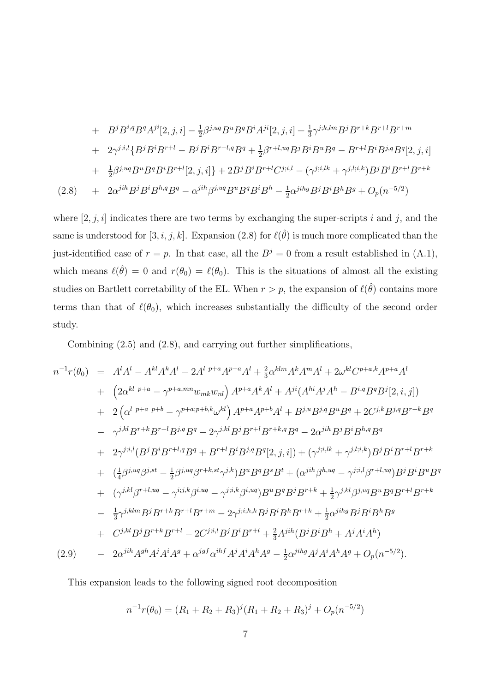+ 
$$
B^{j}B^{i,q}B^{q}A^{ji}[2, j, i] - \frac{1}{2}\beta^{j,uq}B^{u}B^{q}B^{i}A^{ji}[2, j, i] + \frac{1}{3}\gamma^{j,k,lm}B^{j}B^{r+k}B^{r+l}B^{r+m}
$$
  
+  $2\gamma^{j;i,l}\{B^{j}B^{i}B^{r+l} - B^{j}B^{i}B^{r+l,q}B^{q} + \frac{1}{2}\beta^{r+l,uq}B^{j}B^{i}B^{u}B^{q} - B^{r+l}B^{i}B^{j,q}B^{q}[2, j, i]$   
+  $\frac{1}{2}\beta^{j,uq}B^{u}B^{q}B^{i}B^{r+l}[2, j, i] \} + 2B^{j}B^{i}B^{r+l}C^{j;i,l} - (\gamma^{j;i,lk} + \gamma^{j,l;i,k})B^{j}B^{i}B^{r+l}B^{r+k}$   
(2.8) +  $2\alpha^{jih}B^{j}B^{i}B^{h,q}B^{q} - \alpha^{jih}\beta^{j,uq}B^{u}B^{q}B^{i}B^{h} - \frac{1}{2}\alpha^{jihq}B^{j}B^{i}B^{h}B^{g} + O_{p}(n^{-5/2})$ 

where  $[2, j, i]$  indicates there are two terms by exchanging the super-scripts i and j, and the same is understood for [3, i, j, k]. Expansion (2.8) for  $\ell(\hat{\theta})$  is much more complicated than the just-identified case of  $r = p$ . In that case, all the  $B<sup>j</sup> = 0$  from a result established in (A.1), which means  $\ell(\hat{\theta}) = 0$  and  $r(\theta_0) = \ell(\theta_0)$ . This is the situations of almost all the existing studies on Bartlett corretability of the EL. When  $r > p$ , the expansion of  $\ell(\hat{\theta})$  contains more terms than that of  $\ell(\theta_0)$ , which increases substantially the difficulty of the second order study.

Combining (2.5) and (2.8), and carrying out further simplifications,

$$
n^{-1}r(\theta_{0}) = A^{l}A^{l} - A^{kl}A^{k}A^{l} - 2A^{l} P^{+a}A^{p+a}A^{l} + \frac{2}{3}\alpha^{klm}A^{k}A^{m}A^{l} + 2\omega^{kl}C^{p+a,k}A^{p+a}A^{l}
$$
  
+ 
$$
(2\alpha^{kl} P^{+a} - \gamma^{p+a,mn}w_{mk}w_{nl}) A^{p+a}A^{k}A^{l} + A^{ji}(A^{hi}A^{j}A^{h} - B^{i,q}B^{q}B^{j}[2,i,j])
$$
  
+ 
$$
2(\alpha^{l} P^{+a} P^{+b} - \gamma^{p+a;p+b,k}\omega^{kl}) A^{p+a}A^{p+b}A^{l} + B^{j,u}B^{j,q}B^{u}B^{q} + 2C^{j,k}B^{j,q}B^{r+k}B^{q}
$$
  
- 
$$
\gamma^{j,kl}B^{r+k}B^{r+l}B^{j,q}B^{q} - 2\gamma^{j,kl}B^{j}B^{r+l}B^{r+k,q}B^{q} - 2\alpha^{jih}B^{j}B^{k}B^{h,q}B^{q}
$$
  
+ 
$$
2\gamma^{j;il}(B^{j}B^{i}B^{r+l,q}B^{q} + B^{r+l}B^{i}B^{j,q}B^{q}[2,j,i]) + (\gamma^{j;i,lk} + \gamma^{j,l;i,k})B^{j}B^{i}B^{r+l}B^{r+k}
$$
  
+ 
$$
(\frac{1}{4}\beta^{j,uq}\beta^{j,st} - \frac{1}{2}\beta^{j,uq}\beta^{r+k,st}\gamma^{j,k})B^{u}B^{q}B^{s}B^{t} + (\alpha^{jih}\beta^{h,uq} - \gamma^{j;i,l}\beta^{r+l,uq})B^{j}B^{i}B^{u}B^{q}
$$
  
+ 
$$
(\gamma^{j,kl}\beta^{r+l,uq} - \gamma^{i;j,k}\beta^{i,uq} - \gamma^{j;i,k}\beta^{i,uq})B^{u}B^{q}B^{j}B^{r+k} + \frac{1}{2}\gamma^{j,kl}\beta^{j,uq}B^{u}B^{q}B^{r+l}B^{r+k}
$$
  
- 
$$
\frac{1}{3}\gamma^{j,klm}B^{j}B^{r+k}B^{r+l}B^{r+m} - 2\gamma^{j;i,h,k}B^{j}B^{i}B^{
$$

This expansion leads to the following signed root decomposition

$$
n^{-1}r(\theta_0) = (R_1 + R_2 + R_3)^j (R_1 + R_2 + R_3)^j + O_p(n^{-5/2})
$$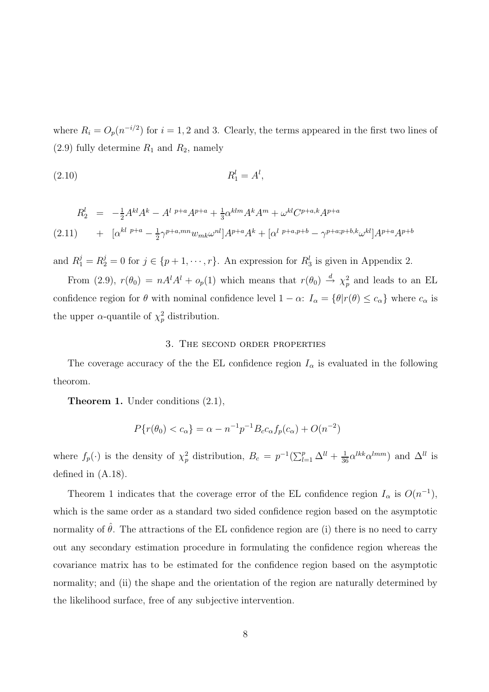where  $R_i = O_p(n^{-i/2})$  for  $i = 1, 2$  and 3. Clearly, the terms appeared in the first two lines of  $(2.9)$  fully determine  $R_1$  and  $R_2$ , namely

$$
R_1^l = A^l,
$$

$$
R_2^l = -\frac{1}{2}A^{kl}A^k - A^{l\ p+a}A^{p+a} + \frac{1}{3}\alpha^{klm}A^k A^m + \omega^{kl}C^{p+a,k}A^{p+a}
$$
  
(2.11) 
$$
+ [\alpha^{kl\ p+a} - \frac{1}{2}\gamma^{p+a,mn}w_{mk}\omega^{nl}]A^{p+a}A^k + [\alpha^{l\ p+a,p+b} - \gamma^{p+a;p+b,k}\omega^{kl}]A^{p+a}A^{p+b}
$$

and  $R_1^j = R_2^j = 0$  for  $j \in \{p+1, \dots, r\}$ . An expression for  $R_3^l$  is given in Appendix 2.

From (2.9),  $r(\theta_0) = nA^l A^l + o_p(1)$  which means that  $r(\theta_0) \stackrel{d}{\rightarrow} \chi_p^2$  and leads to an EL confidence region for  $\theta$  with nominal confidence level  $1 - \alpha$ :  $I_{\alpha} = {\theta | r(\theta) \leq c_{\alpha}}$  where  $c_{\alpha}$  is the upper  $\alpha$ -quantile of  $\chi_p^2$  distribution.

### 3. The second order properties

The coverage accuracy of the the EL confidence region  $I_{\alpha}$  is evaluated in the following theorom.

Theorem 1. Under conditions (2.1),

$$
P\{r(\theta_0) < c_\alpha\} = \alpha - n^{-1}p^{-1}B_c c_\alpha f_p(c_\alpha) + O(n^{-2})
$$

where  $f_p(\cdot)$  is the density of  $\chi_p^2$  distribution,  $B_c = p^{-1}(\sum_{l=1}^p \Delta^{ll} + \frac{1}{36} \alpha^{lkk} \alpha^{lmm})$  and  $\Delta^{ll}$  is defined in (A.18).

Theorem 1 indicates that the coverage error of the EL confidence region  $I_{\alpha}$  is  $O(n^{-1})$ , which is the same order as a standard two sided confidence region based on the asymptotic normality of  $\hat{\theta}$ . The attractions of the EL confidence region are (i) there is no need to carry out any secondary estimation procedure in formulating the confidence region whereas the covariance matrix has to be estimated for the confidence region based on the asymptotic normality; and (ii) the shape and the orientation of the region are naturally determined by the likelihood surface, free of any subjective intervention.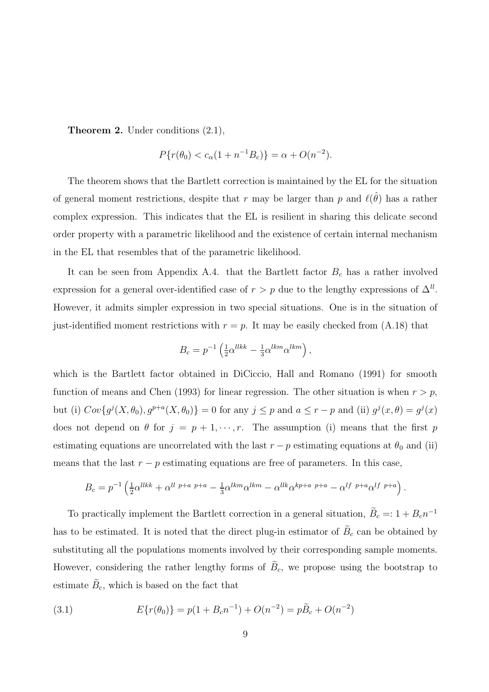Theorem 2. Under conditions (2.1),

$$
P\{r(\theta_0) < c_\alpha (1 + n^{-1}B_c)\} = \alpha + O(n^{-2}).
$$

The theorem shows that the Bartlett correction is maintained by the EL for the situation of general moment restrictions, despite that r may be larger than p and  $\ell(\hat{\theta})$  has a rather complex expression. This indicates that the EL is resilient in sharing this delicate second order property with a parametric likelihood and the existence of certain internal mechanism in the EL that resembles that of the parametric likelihood.

It can be seen from Appendix A.4. that the Bartlett factor  $B_c$  has a rather involved expression for a general over-identified case of  $r > p$  due to the lengthy expressions of  $\Delta^{ll}$ . However, it admits simpler expression in two special situations. One is in the situation of just-identified moment restrictions with  $r = p$ . It may be easily checked from (A.18) that

$$
B_c = p^{-1} \left( \frac{1}{2} \alpha^{llkk} - \frac{1}{3} \alpha^{lkm} \alpha^{lkm} \right),
$$

which is the Bartlett factor obtained in DiCiccio, Hall and Romano (1991) for smooth function of means and Chen (1993) for linear regression. The other situation is when  $r > p$ , but (i)  $Cov\{g^j(X, \theta_0), g^{p+a}(X, \theta_0)\}=0$  for any  $j\leq p$  and  $a\leq r-p$  and (ii)  $g^j(x, \theta)=g^j(x)$ does not depend on  $\theta$  for  $j = p + 1, \dots, r$ . The assumption (i) means that the first p estimating equations are uncorrelated with the last  $r - p$  estimating equations at  $\theta_0$  and (ii) means that the last  $r - p$  estimating equations are free of parameters. In this case,

$$
B_c = p^{-1} \left( \frac{1}{2} \alpha^{llkk} + \alpha^{ll \ p+a \ p+a} - \frac{1}{3} \alpha^{lkm} \alpha^{lkm} - \alpha^{llk} \alpha^{kp+a \ p+a} - \alpha^{lf \ p+a} \alpha^{lf \ p+a} \right).
$$

To practically implement the Bartlett correction in a general situation,  $\tilde{B}_c = 1 + B_c n^{-1}$ has to be estimated. It is noted that the direct plug-in estimator of  $B_c$  can be obtained by substituting all the populations moments involved by their corresponding sample moments. However, considering the rather lengthy forms of  $B<sub>c</sub>$ , we propose using the bootstrap to estimate  $B_c$ , which is based on the fact that

(3.1) 
$$
E\{r(\theta_0)\} = p(1 + B_c n^{-1}) + O(n^{-2}) = p\tilde{B}_c + O(n^{-2})
$$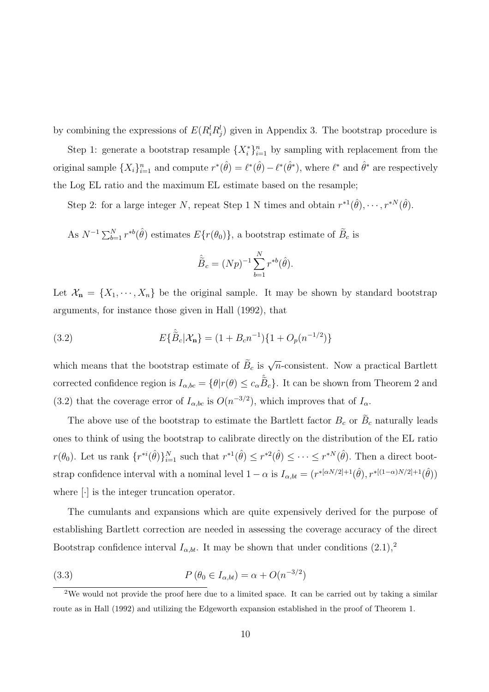by combining the expressions of  $E(R_i^l R_j^l)$  given in Appendix 3. The bootstrap procedure is

Step 1: generate a bootstrap resample  $\{X_i^*\}_{i=1}^n$  by sampling with replacement from the original sample  $\{X_i\}_{i=1}^n$  and compute  $r^*(\hat{\theta}) = \ell^*(\hat{\theta}) - \ell^*(\hat{\theta}^*)$ , where  $\ell^*$  and  $\hat{\theta}^*$  are respectively the Log EL ratio and the maximum EL estimate based on the resample;

Step 2: for a large integer N, repeat Step 1 N times and obtain  $r^{*1}(\hat{\theta}), \dots, r^{*N}(\hat{\theta})$ .

As  $N^{-1} \sum_{b=1}^{N} r^{*b}(\hat{\theta})$  estimates  $E\{r(\theta_0)\}\$ , a bootstrap estimate of  $\tilde{B}_c$  is

$$
\hat{\tilde{B}}_c = (Np)^{-1} \sum_{b=1}^N r^{*b}(\hat{\theta}).
$$

Let  $\mathcal{X}_n = \{X_1, \dots, X_n\}$  be the original sample. It may be shown by standard bootstrap arguments, for instance those given in Hall (1992), that

(3.2) 
$$
E\{\hat{\tilde{B}}_c|\mathcal{X}_n\} = (1 + B_c n^{-1})\{1 + O_p(n^{-1/2})\}
$$

which means that the bootstrap estimate of  $\tilde{B}_c$  is  $\sqrt{n}$ -consistent. Now a practical Bartlett corrected confidence region is  $I_{\alpha, bc} = \{\theta | r(\theta) \le c_{\alpha} \hat{B}_c\}$ . It can be shown from Theorem 2 and (3.2) that the coverage error of  $I_{\alpha, bc}$  is  $O(n^{-3/2})$ , which improves that of  $I_{\alpha}$ .

The above use of the bootstrap to estimate the Bartlett factor  $B_c$  or  $B_c$  naturally leads ones to think of using the bootstrap to calibrate directly on the distribution of the EL ratio  $r(\theta_0)$ . Let us rank  $\{r^{*i}(\hat{\theta})\}_{i=1}^N$  such that  $r^{*1}(\hat{\theta}) \leq r^{*2}(\hat{\theta}) \leq \cdots \leq r^{*N}(\hat{\theta})$ . Then a direct bootstrap confidence interval with a nominal level  $1 - \alpha$  is  $I_{\alpha, bt} = (r^{*[\alpha N/2]+1}(\hat{\theta}), r^{*[(1-\alpha)N/2]+1}(\hat{\theta}))$ where [·] is the integer truncation operator.

The cumulants and expansions which are quite expensively derived for the purpose of establishing Bartlett correction are needed in assessing the coverage accuracy of the direct Bootstrap confidence interval  $I_{\alpha, bt}$ . It may be shown that under conditions  $(2.1),^2$ 

(3.3) 
$$
P(\theta_0 \in I_{\alpha, bt}) = \alpha + O(n^{-3/2})
$$

 $2$ We would not provide the proof here due to a limited space. It can be carried out by taking a similar route as in Hall (1992) and utilizing the Edgeworth expansion established in the proof of Theorem 1.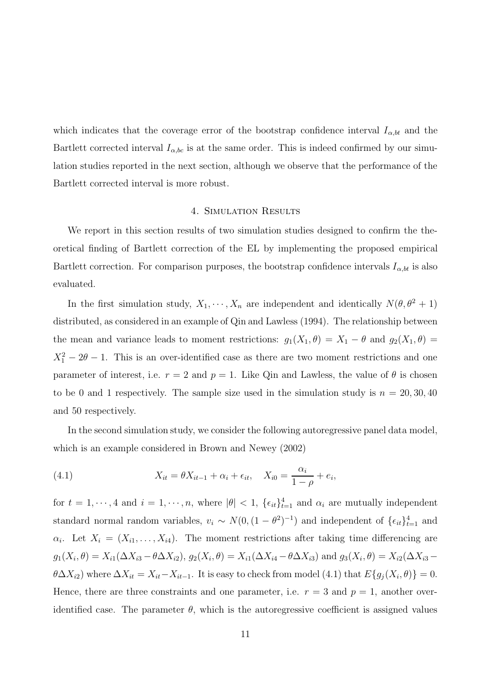which indicates that the coverage error of the bootstrap confidence interval  $I_{\alpha, bt}$  and the Bartlett corrected interval  $I_{\alpha, bc}$  is at the same order. This is indeed confirmed by our simulation studies reported in the next section, although we observe that the performance of the Bartlett corrected interval is more robust.

## 4. Simulation Results

We report in this section results of two simulation studies designed to confirm the theoretical finding of Bartlett correction of the EL by implementing the proposed empirical Bartlett correction. For comparison purposes, the bootstrap confidence intervals  $I_{\alpha, bt}$  is also evaluated.

In the first simulation study,  $X_1, \dots, X_n$  are independent and identically  $N(\theta, \theta^2 + 1)$ distributed, as considered in an example of Qin and Lawless (1994). The relationship between the mean and variance leads to moment restrictions:  $g_1(X_1, \theta) = X_1 - \theta$  and  $g_2(X_1, \theta) =$  $X_1^2 - 2\theta - 1$ . This is an over-identified case as there are two moment restrictions and one parameter of interest, i.e.  $r = 2$  and  $p = 1$ . Like Qin and Lawless, the value of  $\theta$  is chosen to be 0 and 1 respectively. The sample size used in the simulation study is  $n = 20, 30, 40$ and 50 respectively.

In the second simulation study, we consider the following autoregressive panel data model, which is an example considered in Brown and Newey (2002)

(4.1) 
$$
X_{it} = \theta X_{it-1} + \alpha_i + \epsilon_{it}, \quad X_{i0} = \frac{\alpha_i}{1 - \rho} + e_i,
$$

for  $t = 1, \dots, 4$  and  $i = 1, \dots, n$ , where  $|\theta| < 1$ ,  $\{\epsilon_{it}\}_{t=1}^4$  and  $\alpha_i$  are mutually independent standard normal random variables,  $v_i \sim N(0, (1 - \theta^2)^{-1})$  and independent of  $\{\epsilon_{it}\}_{t=1}^4$  and  $\alpha_i$ . Let  $X_i = (X_{i1}, \ldots, X_{i4})$ . The moment restrictions after taking time differencing are  $g_1(X_i, \theta) = X_{i1}(\Delta X_{i3} - \theta \Delta X_{i2}), g_2(X_i, \theta) = X_{i1}(\Delta X_{i4} - \theta \Delta X_{i3})$  and  $g_3(X_i, \theta) = X_{i2}(\Delta X_{i3} - \theta \Delta X_{i3})$  $\theta \Delta X_{i2}$ ) where  $\Delta X_{it} = X_{it} - X_{it-1}$ . It is easy to check from model (4.1) that  $E\{g_j(X_i, \theta)\} = 0$ . Hence, there are three constraints and one parameter, i.e.  $r = 3$  and  $p = 1$ , another overidentified case. The parameter  $\theta$ , which is the autoregressive coefficient is assigned values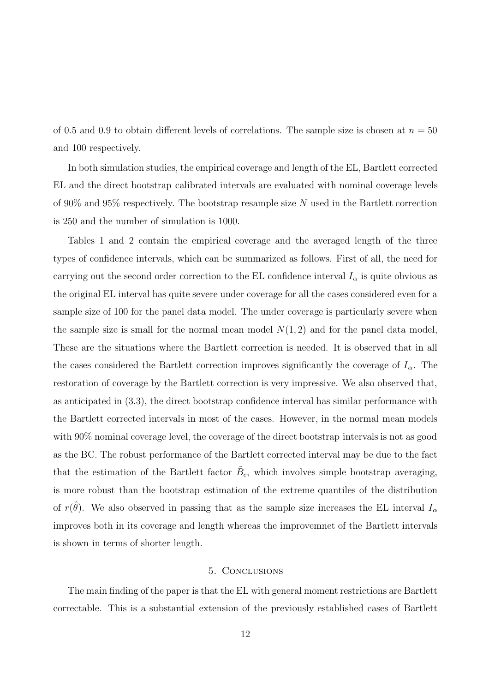of 0.5 and 0.9 to obtain different levels of correlations. The sample size is chosen at  $n = 50$ and 100 respectively.

In both simulation studies, the empirical coverage and length of the EL, Bartlett corrected EL and the direct bootstrap calibrated intervals are evaluated with nominal coverage levels of 90% and 95% respectively. The bootstrap resample size  $N$  used in the Bartlett correction is 250 and the number of simulation is 1000.

Tables 1 and 2 contain the empirical coverage and the averaged length of the three types of confidence intervals, which can be summarized as follows. First of all, the need for carrying out the second order correction to the EL confidence interval  $I_{\alpha}$  is quite obvious as the original EL interval has quite severe under coverage for all the cases considered even for a sample size of 100 for the panel data model. The under coverage is particularly severe when the sample size is small for the normal mean model  $N(1, 2)$  and for the panel data model, These are the situations where the Bartlett correction is needed. It is observed that in all the cases considered the Bartlett correction improves significantly the coverage of  $I_{\alpha}$ . The restoration of coverage by the Bartlett correction is very impressive. We also observed that, as anticipated in (3.3), the direct bootstrap confidence interval has similar performance with the Bartlett corrected intervals in most of the cases. However, in the normal mean models with 90% nominal coverage level, the coverage of the direct bootstrap intervals is not as good as the BC. The robust performance of the Bartlett corrected interval may be due to the fact that the estimation of the Bartlett factor  $\tilde{B}_c$ , which involves simple bootstrap averaging, is more robust than the bootstrap estimation of the extreme quantiles of the distribution of  $r(\hat{\theta})$ . We also observed in passing that as the sample size increases the EL interval  $I_{\alpha}$ improves both in its coverage and length whereas the improvemnet of the Bartlett intervals is shown in terms of shorter length.

#### 5. Conclusions

The main finding of the paper is that the EL with general moment restrictions are Bartlett correctable. This is a substantial extension of the previously established cases of Bartlett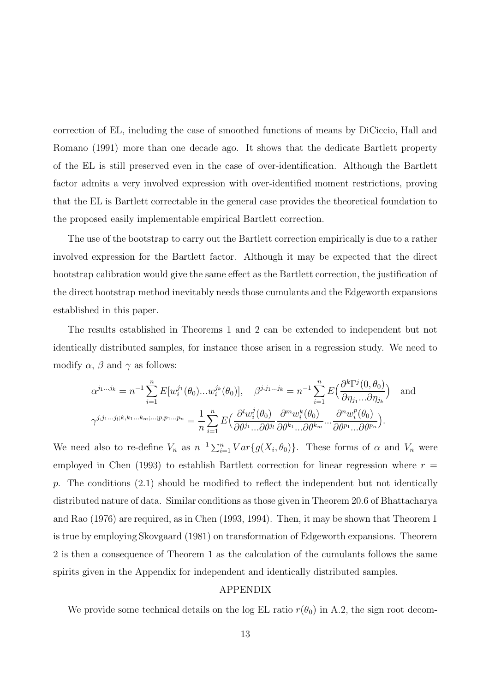correction of EL, including the case of smoothed functions of means by DiCiccio, Hall and Romano (1991) more than one decade ago. It shows that the dedicate Bartlett property of the EL is still preserved even in the case of over-identification. Although the Bartlett factor admits a very involved expression with over-identified moment restrictions, proving that the EL is Bartlett correctable in the general case provides the theoretical foundation to the proposed easily implementable empirical Bartlett correction.

The use of the bootstrap to carry out the Bartlett correction empirically is due to a rather involved expression for the Bartlett factor. Although it may be expected that the direct bootstrap calibration would give the same effect as the Bartlett correction, the justification of the direct bootstrap method inevitably needs those cumulants and the Edgeworth expansions established in this paper.

The results established in Theorems 1 and 2 can be extended to independent but not identically distributed samples, for instance those arisen in a regression study. We need to modify  $\alpha$ ,  $\beta$  and  $\gamma$  as follows:

$$
\alpha^{j_1...j_k} = n^{-1} \sum_{i=1}^n E[w_i^{j_1}(\theta_0)...w_i^{j_k}(\theta_0)], \quad \beta^{j,j_1...j_k} = n^{-1} \sum_{i=1}^n E\Big(\frac{\partial^k \Gamma^j(0,\theta_0)}{\partial \eta_{j_1}...\partial \eta_{j_k}}\Big) \quad \text{and}
$$

$$
\gamma^{j,j_1...j_l;k,k_1...k_m;...;p,p_1...p_n} = \frac{1}{n} \sum_{i=1}^n E\Big(\frac{\partial^l w_i^j(\theta_0)}{\partial \theta^{j_1}...\partial \theta^{j_l}} \frac{\partial^m w_i^k(\theta_0)}{\partial \theta^{k_1}...\partial \theta^{k_m}}...\frac{\partial^m w_i^p(\theta_0)}{\partial \theta^{p_1}...\partial \theta^{p_n}}\Big).
$$

We need also to re-define  $V_n$  as  $n^{-1} \sum_{i=1}^n Var\{g(X_i, \theta_0)\}\$ . These forms of  $\alpha$  and  $V_n$  were employed in Chen (1993) to establish Bartlett correction for linear regression where  $r =$ p. The conditions  $(2.1)$  should be modified to reflect the independent but not identically distributed nature of data. Similar conditions as those given in Theorem 20.6 of Bhattacharya and Rao (1976) are required, as in Chen (1993, 1994). Then, it may be shown that Theorem 1 is true by employing Skovgaard (1981) on transformation of Edgeworth expansions. Theorem 2 is then a consequence of Theorem 1 as the calculation of the cumulants follows the same spirits given in the Appendix for independent and identically distributed samples.

### APPENDIX

We provide some technical details on the log EL ratio  $r(\theta_0)$  in A.2, the sign root decom-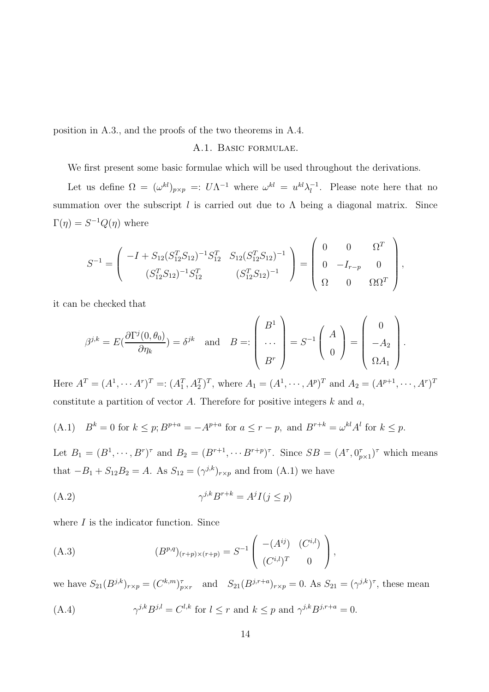position in A.3., and the proofs of the two theorems in A.4.

# A.1. Basic formulae.

We first present some basic formulae which will be used throughout the derivations.

Let us define  $\Omega = (\omega^{kl})_{p \times p} =: U \Lambda^{-1}$  where  $\omega^{kl} = u^{kl} \lambda_l^{-1}$ . Please note here that no summation over the subscript  $l$  is carried out due to  $\Lambda$  being a diagonal matrix. Since  $\Gamma(\eta) = S^{-1}Q(\eta)$  where

$$
S^{-1} = \begin{pmatrix} -I + S_{12}(S_{12}^T S_{12})^{-1} S_{12}^T & S_{12}(S_{12}^T S_{12})^{-1} \\ (S_{12}^T S_{12})^{-1} S_{12}^T & (S_{12}^T S_{12})^{-1} \end{pmatrix} = \begin{pmatrix} 0 & 0 & \Omega^T \\ 0 & -I_{r-p} & 0 \\ \Omega & 0 & \Omega \Omega^T \end{pmatrix},
$$

it can be checked that

$$
\beta^{j,k} = E\left(\frac{\partial \Gamma^j(0,\theta_0)}{\partial \eta_k}\right) = \delta^{jk} \quad \text{and} \quad B =: \begin{pmatrix} B^1 \\ \cdots \\ B^r \end{pmatrix} = S^{-1} \begin{pmatrix} A \\ 0 \end{pmatrix} = \begin{pmatrix} 0 \\ -A_2 \\ \Omega A_1 \end{pmatrix}.
$$

Here  $A^T = (A^1, \dots, A^r)^T =: (A_1^T, A_2^T)^T$ , where  $A_1 = (A^1, \dots, A^p)^T$  and  $A_2 = (A^{p+1}, \dots, A^r)^T$ constitute a partition of vector  $A$ . Therefore for positive integers  $k$  and  $a$ ,

(A.1) 
$$
B^k = 0
$$
 for  $k \le p$ ;  $B^{p+a} = -A^{p+a}$  for  $a \le r - p$ , and  $B^{r+k} = \omega^{kl} A^l$  for  $k \le p$ .

Let  $B_1 = (B^1, \dots, B^r)^{\tau}$  and  $B_2 = (B^{r+1}, \dots, B^{r+p})^{\tau}$ . Since  $SB = (A^{\tau}, 0_{p\times 1}^{\tau})^{\tau}$  which means that  $-B_1 + S_{12}B_2 = A$ . As  $S_{12} = (\gamma^{j,k})_{r \times p}$  and from  $(A.1)$  we have

$$
(A.2) \t\t\t \gamma^{j,k} B^{r+k} = A^j I(j \le p)
$$

where  $I$  is the indicator function. Since

(A.3) 
$$
(B^{p,q})_{(r+p)\times(r+p)} = S^{-1} \begin{pmatrix} -(A^{ij}) & (C^{i,l}) \\ (C^{i,l})^T & 0 \end{pmatrix},
$$

we have  $S_{21}(B^{j,k})_{r\times p} = (C^{k,m})_{p\times r}^{\tau}$  and  $S_{21}(B^{j,r+a})_{r\times p} = 0$ . As  $S_{21} = (\gamma^{j,k})^{\tau}$ , these mean

(A.4) 
$$
\gamma^{j,k} B^{j,l} = C^{l,k} \text{ for } l \leq r \text{ and } k \leq p \text{ and } \gamma^{j,k} B^{j,r+a} = 0.
$$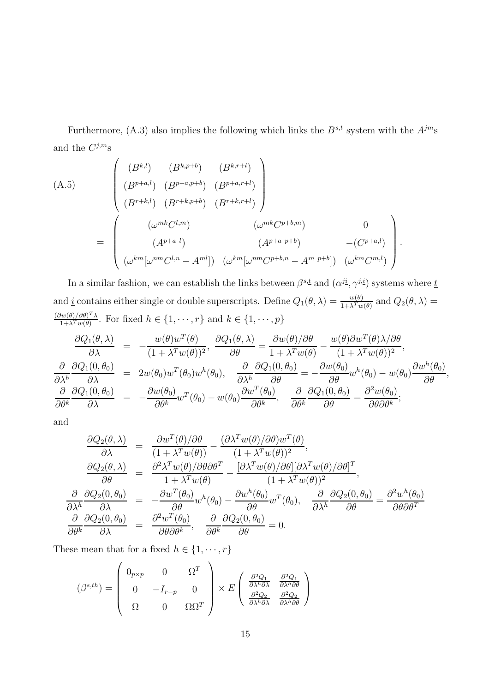Furthermore, (A.3) also implies the following which links the  $B^{s,t}$  system with the  $A^{jm}$ s and the  $C^{j,m}$ s

(A.5)  
\n
$$
\begin{pmatrix}\n(B^{k,l}) & (B^{k,p+b}) & (B^{k,r+l}) \\
(B^{p+a,l}) & (B^{p+a,p+b}) & (B^{p+a,r+l}) \\
(B^{r+k,l}) & (B^{r+k,p+b}) & (B^{r+k,r+l})\n\end{pmatrix}
$$
\n
$$
= \begin{pmatrix}\n(\omega^{mk}C^{l,m}) & (\omega^{mk}C^{p+b,m}) & 0 \\
(A^{p+a-l}) & (A^{p+a-p+b}) & -(C^{p+a,l}) \\
(\omega^{km}[\omega^{nm}C^{l,n} - A^{ml}]) & (\omega^{km}[\omega^{nm}C^{p+b,n} - A^{m-p+b}]) & (\omega^{km}C^{m,l})\n\end{pmatrix}.
$$

In a similar fashion, we can establish the links between  $\beta^{s,t}$  and  $(\alpha^{ji}, \gamma^{j,i})$  systems where  $\underline{t}$ and *i* contains either single or double superscripts. Define  $Q_1(\theta, \lambda) = \frac{w(\theta)}{1 + \lambda^T w}$  $\frac{w(\theta)}{1+\lambda^Tw(\theta)}$  and  $Q_2(\theta,\lambda)$  =  $(\partial w(\theta)/\partial \theta)^T \lambda$  $\lim_{1+\lambda^T w(\theta)} \frac{\partial \psi(f)}{\partial \theta} \frac{\partial \theta}{\partial \theta}$ . For fixed  $h \in \{1, \dots, r\}$  and  $k \in \{1, \dots, p\}$ 

$$
\frac{\partial Q_1(\theta,\lambda)}{\partial \lambda} = -\frac{w(\theta)w^T(\theta)}{(1+\lambda^T w(\theta))^2}, \frac{\partial Q_1(\theta,\lambda)}{\partial \theta} = \frac{\partial w(\theta)/\partial \theta}{1+\lambda^T w(\theta)} - \frac{w(\theta)\partial w^T(\theta)\lambda/\partial \theta}{(1+\lambda^T w(\theta))^2}, \n\frac{\partial Q_1(0,\theta_0)}{\partial \lambda} = 2w(\theta_0)w^T(\theta_0)w^h(\theta_0), \frac{\partial Q_1(0,\theta_0)}{\partial \lambda} = -\frac{\partial w(\theta_0)}{\partial \theta}w^h(\theta_0) - w(\theta_0)\frac{\partial w^h(\theta_0)}{\partial \theta}, \n\frac{\partial Q_1(0,\theta_0)}{\partial \theta} = -\frac{\partial w(\theta_0)}{\partial \theta}w^T(\theta_0) - w(\theta_0)\frac{\partial w^T(\theta_0)}{\partial \theta}, \frac{\partial Q_1(0,\theta_0)}{\partial \theta} = \frac{\partial^2 w(\theta_0)}{\partial \theta \partial \theta^k};
$$

and

$$
\frac{\partial Q_2(\theta,\lambda)}{\partial \lambda} = \frac{\partial w^T(\theta)/\partial \theta}{(1+\lambda^T w(\theta))} - \frac{(\partial \lambda^T w(\theta)/\partial \theta) w^T(\theta)}{(1+\lambda^T w(\theta))^2}, \n\frac{\partial Q_2(\theta,\lambda)}{\partial \theta} = \frac{\partial^2 \lambda^T w(\theta)/\partial \theta \partial \theta^T}{1+\lambda^T w(\theta)} - \frac{[\partial \lambda^T w(\theta)/\partial \theta][\partial \lambda^T w(\theta)/\partial \theta]^T}{(1+\lambda^T w(\theta))^2}, \n\frac{\partial}{\partial \lambda^h} \frac{\partial Q_2(0,\theta_0)}{\partial \lambda} = \frac{\partial w^T(\theta_0)}{\partial \theta} w^h(\theta_0) - \frac{\partial w^h(\theta_0)}{\partial \theta} w^T(\theta_0), \quad \frac{\partial}{\partial \lambda^h} \frac{\partial Q_2(0,\theta_0)}{\partial \theta} = \frac{\partial^2 w^h(\theta_0)}{\partial \theta \partial \theta^T} \n\frac{\partial}{\partial \theta^k} \frac{\partial Q_2(0,\theta_0)}{\partial \lambda} = \frac{\partial^2 w^T(\theta_0)}{\partial \theta \partial \theta^k}, \quad \frac{\partial}{\partial \theta^k} \frac{\partial Q_2(0,\theta_0)}{\partial \theta} = 0.
$$

These mean that for a fixed  $h \in \{1, \dots, r\}$ 

$$
(\beta^{s,th}) = \begin{pmatrix} 0_{p \times p} & 0 & \Omega^T \\ 0 & -I_{r-p} & 0 \\ \Omega & 0 & \Omega \Omega^T \end{pmatrix} \times E \begin{pmatrix} \frac{\partial^2 Q_1}{\partial \lambda^h \partial \lambda} & \frac{\partial^2 Q_1}{\partial \lambda^h \partial \theta} \\ \frac{\partial^2 Q_2}{\partial \lambda^h \partial \lambda} & \frac{\partial^2 Q_2}{\partial \lambda^h \partial \theta} \end{pmatrix}
$$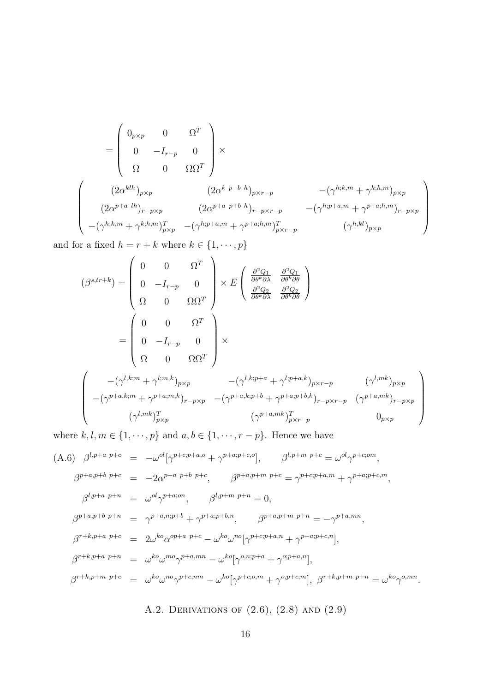$$
= \begin{pmatrix} 0_{p\times p} & 0 & \Omega^T \\ 0 & -I_{r-p} & 0 \\ \Omega & 0 & \Omega\Omega^T \end{pmatrix} \times \n\left(\begin{array}{cc} (2\alpha^{klh})_{p\times p} & (2\alpha^{k\ p+b\ h})_{p\times r-p} & -(\gamma^{h;k,m}+\gamma^{k;h,m})_{p\times p} \\ (2\alpha^{p+a\ lh})_{r-p\times p} & (2\alpha^{p+a\ p+b\ h})_{r-p\times r-p} & -(\gamma^{h;p+a,m}+\gamma^{p+a;h,m})_{r-p\times p} \\ -(\gamma^{h;k,m}+\gamma^{k;h,m})_{p\times p}^T & -(\gamma^{h;p+a,m}+\gamma^{p+a;h,m})_{p\times r-p}^T & (\gamma^{h,kl})_{p\times p} \end{array}\right)
$$

and for a fixed  $h = r + k$  where  $k \in \{1, \dots, p\}$ 

$$
\begin{aligned}\n(\beta^{s,tr+k}) &= \begin{pmatrix}\n0 & 0 & \Omega^T \\
0 & -I_{r-p} & 0 \\
\Omega & 0 & \Omega\Omega^T\n\end{pmatrix} \times E \begin{pmatrix}\n\frac{\partial^2 Q_1}{\partial \theta^k \partial \lambda} & \frac{\partial^2 Q_1}{\partial \theta^k \partial \theta} \\
\frac{\partial^2 Q_2}{\partial \theta^k \partial \lambda} & \frac{\partial^2 Q_2}{\partial \theta^k \partial \theta}\n\end{pmatrix} \\
&= \begin{pmatrix}\n0 & 0 & \Omega^T \\
0 & -I_{r-p} & 0 \\
\Omega & 0 & \Omega\Omega^T\n\end{pmatrix} \times \\
\begin{pmatrix}\n-(\gamma^{l,k;m} + \gamma^{l;m,k})_{p\times p} & -(\gamma^{l,k;p+a} + \gamma^{l;p+a,k})_{p\times r-p} & (\gamma^{l,mk})_{p\times p} \\
-(\gamma^{p+a,k;m} + \gamma^{p+a;m,k})_{r-p\times p} & -(\gamma^{p+a,k;p+b} + \gamma^{p+a;p+b,k})_{r-p\times r-p} & (\gamma^{p+a,mk})_{r-p\times p} \\
(\gamma^{l,mk})_{p\times p}^T & (\gamma^{p+a,mk})_{p\times r-p}^T & 0_{p\times p}\n\end{pmatrix}\n\end{aligned}
$$

where  $k, l, m \in \{1, \dots, p\}$  and  $a, b \in \{1, \dots, r - p\}$ . Hence we have

(A.6) 
$$
\beta^{l,p+a\ p+c} = -\omega^{ol}[\gamma^{p+c;p+a,o} + \gamma^{p+a;p+c,o}],
$$
  $\beta^{l,p+m\ p+c} = \omega^{ol}\gamma^{p+c;om},$   
\n $\beta^{p+a,p+b\ p+c} = -2\alpha^{p+a\ p+b\ p+c},$   $\beta^{p+a,p+m\ p+c} = \gamma^{p+c;p+a,m} + \gamma^{p+a;p+c,m},$   
\n $\beta^{l,p+a\ p+n} = \omega^{ol}\gamma^{p+a;on},$   $\beta^{l,p+m\ p+n} = 0,$   
\n $\beta^{p+a,p+b\ p+n} = \gamma^{p+a,n;p+b} + \gamma^{p+a;p+b,n},$   $\beta^{p+a,p+m\ p+n} = -\gamma^{p+a;mn},$   
\n $\beta^{r+k,p+a\ p+c} = 2\omega^{ko}\alpha^{op+a\ p+c} - \omega^{ko}\omega^{no}[\gamma^{p+c;p+a,n} + \gamma^{p+a;p+c,n}],$   
\n $\beta^{r+k,p+n\ p+c} = \omega^{ko}\omega^{mo}\gamma^{p+a;mn} - \omega^{ko}[\gamma^{o,n;p+a} + \gamma^{o,p+a,n}],$   $\beta^{r+k,p+m\ p+c} = \omega^{ko}\gamma^{o,mn}.$ 

A.2. DERIVATIONS OF  $(2.6)$ ,  $(2.8)$  AND  $(2.9)$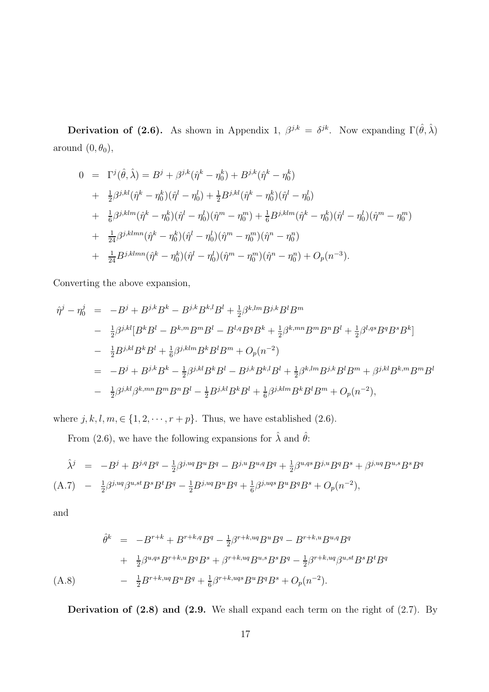**Derivation of (2.6).** As shown in Appendix 1,  $\beta^{j,k} = \delta^{jk}$ . Now expanding  $\Gamma(\hat{\theta}, \hat{\lambda})$ around  $(0, \theta_0)$ ,

$$
0 = \Gamma^{j}(\hat{\theta}, \hat{\lambda}) = B^{j} + \beta^{j,k}(\hat{\eta}^{k} - \eta_{0}^{k}) + B^{j,k}(\hat{\eta}^{k} - \eta_{0}^{k})
$$
  
+  $\frac{1}{2}\beta^{j,kl}(\hat{\eta}^{k} - \eta_{0}^{k})(\hat{\eta}^{l} - \eta_{0}^{l}) + \frac{1}{2}B^{j,kl}(\hat{\eta}^{k} - \eta_{0}^{k})(\hat{\eta}^{l} - \eta_{0}^{l})$   
+  $\frac{1}{6}\beta^{j,klm}(\hat{\eta}^{k} - \eta_{0}^{k})(\hat{\eta}^{l} - \eta_{0}^{l})(\hat{\eta}^{m} - \eta_{0}^{m}) + \frac{1}{6}B^{j,klm}(\hat{\eta}^{k} - \eta_{0}^{k})(\hat{\eta}^{l} - \eta_{0}^{l})(\hat{\eta}^{m} - \eta_{0}^{m})$   
+  $\frac{1}{24}\beta^{j,klmn}(\hat{\eta}^{k} - \eta_{0}^{k})(\hat{\eta}^{l} - \eta_{0}^{l})(\hat{\eta}^{m} - \eta_{0}^{m})(\hat{\eta}^{n} - \eta_{0}^{n})$   
+  $\frac{1}{24}B^{j,klmn}(\hat{\eta}^{k} - \eta_{0}^{k})(\hat{\eta}^{l} - \eta_{0}^{l})(\hat{\eta}^{m} - \eta_{0}^{m})(\hat{\eta}^{n} - \eta_{0}^{n}) + O_{p}(n^{-3}).$ 

Converting the above expansion,

$$
\hat{\eta}^{j} - \eta_{0}^{j} = -B^{j} + B^{j,k}B^{k} - B^{j,k}B^{k,l}B^{l} + \frac{1}{2}\beta^{k,lm}B^{j,k}B^{l}B^{m}
$$
\n
$$
- \frac{1}{2}\beta^{j,kl}[B^{k}B^{l} - B^{k,m}B^{m}B^{l} - B^{l,q}B^{q}B^{k} + \frac{1}{2}\beta^{k,mn}B^{m}B^{n}B^{l} + \frac{1}{2}\beta^{l,qs}B^{q}B^{s}B^{k}]
$$
\n
$$
- \frac{1}{2}B^{j,kl}B^{k}B^{l} + \frac{1}{6}\beta^{j,klm}B^{k}B^{l}B^{m} + O_{p}(n^{-2})
$$
\n
$$
= -B^{j} + B^{j,k}B^{k} - \frac{1}{2}\beta^{j,kl}B^{k}B^{l} - B^{j,k}B^{k,l}B^{l} + \frac{1}{2}\beta^{k,lm}B^{j,k}B^{l}B^{m} + \beta^{j,kl}B^{k,m}B^{m}B^{l}
$$
\n
$$
- \frac{1}{2}\beta^{j,kl}\beta^{k,mn}B^{m}B^{n}B^{l} - \frac{1}{2}B^{j,kl}B^{k}B^{l} + \frac{1}{6}\beta^{j,klm}B^{k}B^{l}B^{m} + O_{p}(n^{-2}),
$$

where  $j, k, l, m \in \{1, 2, \dots, r + p\}$ . Thus, we have established (2.6).

From (2.6), we have the following expansions for  $\hat{\lambda}$  and  $\hat{\theta}$ :

$$
\hat{\lambda}^j = -B^j + B^{j,q}B^q - \frac{1}{2}\beta^{j,uq}B^u B^q - B^{j,u}B^{u,q}B^q + \frac{1}{2}\beta^{u,qs}B^{j,u}B^qB^s + \beta^{j,uq}B^{u,s}B^sB^q
$$
  
(A.7) 
$$
- \frac{1}{2}\beta^{j,uq}\beta^{u,st}B^sB^t = \frac{1}{2}B^{j,uq}B^u B^q + \frac{1}{6}\beta^{j,uqs}B^u B^qB^s + O_p(n^{-2}),
$$

and

$$
\hat{\theta}^{k} = -B^{r+k} + B^{r+k,q}B^{q} - \frac{1}{2}\beta^{r+k,uq}B^{u}B^{q} - B^{r+k,u}B^{u,q}B^{q}
$$

$$
+ \frac{1}{2}\beta^{u,qs}B^{r+k,u}B^{q}B^{s} + \beta^{r+k,uq}B^{u,s}B^{s}B^{q} - \frac{1}{2}\beta^{r+k,uq}\beta^{u,st}B^{s}B^{t}B^{q}
$$

$$
- \frac{1}{2}B^{r+k,uq}B^{u}B^{q} + \frac{1}{6}\beta^{r+k,uqs}B^{u}B^{q}B^{s} + O_{p}(n^{-2}).
$$

Derivation of  $(2.8)$  and  $(2.9.$  We shall expand each term on the right of  $(2.7)$ . By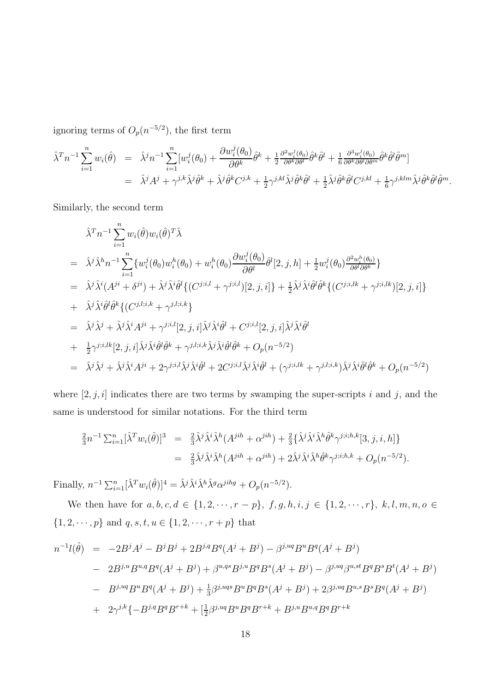ignoring terms of  $O_p(n^{-5/2})$ , the first term

$$
\hat{\lambda}^T n^{-1} \sum_{i=1}^n w_i(\hat{\theta}) = \hat{\lambda}^j n^{-1} \sum_{i=1}^n [w_i^j(\theta_0) + \frac{\partial w_i^j(\theta_0)}{\partial \theta^k} \hat{\theta}^k + \frac{1}{2} \frac{\partial^2 w_i^j(\theta_0)}{\partial \theta^k \partial \theta^l} \hat{\theta}^k \hat{\theta}^l + \frac{1}{6} \frac{\partial^3 w_i^j(\theta_0)}{\partial \theta^k \partial \theta^l \partial \theta^m} \hat{\theta}^k \hat{\theta}^l \hat{\theta}^m]
$$
  

$$
= \hat{\lambda}^j A^j + \gamma^{j,k} \hat{\lambda}^j \hat{\theta}^k + \hat{\lambda}^j \hat{\theta}^k C^{j,k} + \frac{1}{2} \gamma^{j,kl} \hat{\lambda}^j \hat{\theta}^k \hat{\theta}^l + \frac{1}{2} \hat{\lambda}^j \hat{\theta}^k \hat{\theta}^l C^{j,kl} + \frac{1}{6} \gamma^{j,klm} \hat{\lambda}^j \hat{\theta}^k \hat{\theta}^l \hat{\theta}^m.
$$

Similarly, the second term

$$
\hat{\lambda}^{T}n^{-1}\sum_{i=1}^{n}w_{i}(\hat{\theta})w_{i}(\hat{\theta})^{T}\hat{\lambda}
$$
\n
$$
= \hat{\lambda}^{j}\hat{\lambda}^{h}n^{-1}\sum_{i=1}^{n}\{w_{i}^{j}(\theta_{0})w_{i}^{h}(\theta_{0}) + w_{i}^{h}(\theta_{0})\frac{\partial w_{i}^{j}(\theta_{0})}{\partial \theta^{l}}\hat{\theta}^{l}[2,j,h] + \frac{1}{2}w_{i}^{j}(\theta_{0})\frac{\partial^{2}w_{i}^{h}(\theta_{0})}{\partial \theta^{l}}\}
$$
\n
$$
= \hat{\lambda}^{j}\hat{\lambda}^{i}(A^{ji} + \delta^{ji}) + \hat{\lambda}^{j}\hat{\lambda}^{i}\hat{\theta}^{l}\{(C^{j;i,l} + \gamma^{j;i,l})[2,j,i]\} + \frac{1}{2}\hat{\lambda}^{j}\hat{\lambda}^{i}\hat{\theta}^{l}\hat{\theta}^{k}\{(C^{j;i,lk} + \gamma^{j;i,lk})[2,j,i]\}
$$
\n
$$
+ \hat{\lambda}^{j}\hat{\lambda}^{i}\hat{\theta}^{l}\hat{\theta}^{k}\{(C^{j,l;i,k} + \gamma^{j,l;i,k}\}
$$
\n
$$
= \hat{\lambda}^{j}\hat{\lambda}^{j} + \hat{\lambda}^{j}\hat{\lambda}^{i}A^{ji} + \gamma^{j;i,l}[2,j,i]\hat{\lambda}^{j}\hat{\lambda}^{i}\hat{\theta}^{l} + C^{j;i,l}[2,j,i]\hat{\lambda}^{j}\hat{\lambda}^{i}\hat{\theta}^{l}
$$
\n
$$
+ \frac{1}{2}\gamma^{j;i,lk}[2,j,i]\hat{\lambda}^{j}\hat{\lambda}^{i}\hat{\theta}^{l}\hat{\theta}^{k} + \gamma_{j,l;i,k}\hat{\lambda}^{j}\hat{\lambda}^{i}\hat{\theta}^{l}\hat{\theta}^{k} + O_{p}(n^{-5/2})
$$
\n
$$
= \hat{\lambda}^{j}\hat{\lambda}^{j} + \hat{\lambda}^{j}\hat{\lambda}^{i}A^{ji} + 2\gamma^{j;i,l}\hat{\lambda}^{j}\hat{\lambda}^{i}\hat{\theta}^{l} + 2C^{j;i,l}\hat{\lambda}^{j}\hat{\lambda}^{i}\hat{\theta}^{l} + (\gamma^{j;i,lk} + \gamma^{j,l;i,k})\hat{\lambda}^{j}\hat{\lambda}^{i}\hat{\theta}
$$

where  $[2, j, i]$  indicates there are two terms by swamping the super-scripts i and j, and the same is understood for similar notations. For the third term

$$
\frac{2}{3}n^{-1}\sum_{i=1}^{n} [\hat{\lambda}^T w_i(\hat{\theta})]^3 = \frac{2}{3}\hat{\lambda}^j \hat{\lambda}^i \hat{\lambda}^h (A^{jih} + \alpha^{jih}) + \frac{2}{3} \{\hat{\lambda}^j \hat{\lambda}^i \hat{\lambda}^h \hat{\theta}^k \gamma^{j;i,h,k}[3,j,i,h]\}
$$
  

$$
= \frac{2}{3}\hat{\lambda}^j \hat{\lambda}^i \hat{\lambda}^h (A^{jih} + \alpha^{jih}) + 2\hat{\lambda}^j \hat{\lambda}^i \hat{\lambda}^h \hat{\theta}^k \gamma^{j;i,h,k} + O_p(n^{-5/2}).
$$

Finally,  $n^{-1} \sum_{i=1}^{n} [\hat{\lambda}^T w_i(\hat{\theta})]^4 = \hat{\lambda}^j \hat{\lambda}^i \hat{\lambda}^h \hat{\lambda}^g \alpha^{jihg} + O_p(n^{-5/2}).$ 

We then have for  $a, b, c, d \in \{1, 2, \dots, r - p\}, f, g, h, i, j \in \{1, 2, \dots, r\}, k, l, m, n, o \in$  $\{1, 2, \cdots, p\}$  and  $q, s, t, u \in \{1, 2, \cdots, r + p\}$  that

$$
n^{-1}l(\hat{\theta}) = -2B^{j}A^{j} - B^{j}B^{j} + 2B^{j,q}B^{q}(A^{j} + B^{j}) - \beta^{j,uq}B^{u}B^{q}(A^{j} + B^{j})
$$
  
\n
$$
- 2B^{j,u}B^{u,q}B^{q}(A^{j} + B^{j}) + \beta^{u,qg}B^{j,u}B^{q}B^{s}(A^{j} + B^{j}) - \beta^{j,uq}\beta^{u,st}B^{q}B^{s}B^{t}(A^{j} + B^{j})
$$
  
\n
$$
- B^{j,uq}B^{u}B^{q}(A^{j} + B^{j}) + \frac{1}{3}\beta^{j,uqg}B^{u}B^{q}B^{s}(A^{j} + B^{j}) + 2\beta^{j,uq}B^{u,s}B^{s}B^{q}(A^{j} + B^{j})
$$
  
\n
$$
+ 2\gamma^{j,k}\{-B^{j,q}B^{q}B^{r+k} + [\frac{1}{2}\beta^{j,uq}B^{u}B^{q}B^{r+k} + B^{j,u}B^{u,q}B^{q}B^{r+k}
$$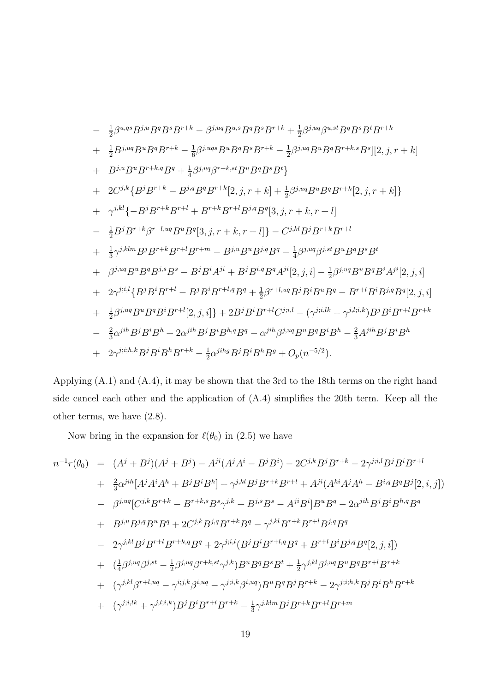$$
-\frac{1}{2}\beta^{u,qs}B^{j,u}B^{q}B^{s}B^{r+k}-\beta^{juq}B^{u,s}B^{q}B^{s}B^{r+k}+\frac{1}{2}\beta^{juq}\beta^{u,st}B^{q}B^{s}B^{t}B^{r+k}
$$
  
+ $\frac{1}{2}B^{j,uq}B^{u}B^{q}B^{r+k}-\frac{1}{6}\beta^{j,uq}B^{u}B^{q}B^{s}B^{r+k}-\frac{1}{2}\beta^{juq}B^{u}B^{q}B^{r+k,s}B^{s}][2,j,r+k]$   
+ $B^{j,u}B^{u}B^{r+k,q}B^{q}+\frac{1}{4}\beta^{juq}\beta^{r+k,st}B^{u}B^{q}B^{s}B^{t}\}$   
+ $2C^{j,k}\{B^{j}B^{r+k}-B^{j,q}B^{q}B^{r+k}[2,j,r+k]+\frac{1}{2}\beta^{j,uq}B^{u}B^{q}B^{r+k}[2,j,r+k]\}$   
+ $\gamma^{j,kl}\{-B^{j}B^{r+k}B^{r+l}+B^{r+k}B^{r+l}B^{j,q}B^{q}[3,j,r+k,r+l]$   
- $\frac{1}{2}B^{j}B^{r+k}\beta^{r+l,uq}B^{u}B^{q}[3,j,r+k,r+l]+\frac{1}{3}\gamma^{j,klm}B^{j}B^{r+k}B^{r+l}B^{r+m}-B^{j,u}B^{u}B^{j,q}B^{q}-\frac{1}{4}\beta^{j,uq}\beta^{j,st}B^{u}B^{q}B^{s}B^{t}$   
+ $\beta^{j,uq}B^{u}B^{q}B^{j,s}B^{s}-B^{j}B^{i}A^{j}i+B^{j}B^{i,q}B^{q}A^{j}i[2,j,i]-\frac{1}{2}\beta^{j,uq}B^{u}B^{q}B^{i}A^{j}i[2,j,i]$   
+ $2\gamma^{j;il}\{B^{j}B^{i}B^{r+l}-B^{j}B^{i}B^{r+l,q}B^{q}+\frac{1}{2}\beta^{r+l,uq}B^{j}B^{i}B^{u}B^{q}-B^{r+l}B^{i}B^{j,q}B^{q}[2,j,i]$   
+ $\frac{1}{2}\beta^{j,uq}B^{u}B^{q}B^{i}B^{r+l}[2,j,i]\}+2B^{j}B^{i}B^{$ 

Applying (A.1) and (A.4), it may be shown that the 3rd to the 18th terms on the right hand side cancel each other and the application of (A.4) simplifies the 20th term. Keep all the other terms, we have (2.8).

Now bring in the expansion for  $\ell(\theta_0)$  in (2.5) we have

$$
n^{-1}r(\theta_{0}) = (A^{j} + B^{j})(A^{j} + B^{j}) - A^{ji}(A^{j}A^{i} - B^{j}B^{i}) - 2C^{j,k}B^{j}B^{r+k} - 2\gamma^{j;i,l}B^{j}B^{i}B^{r+l} + \frac{2}{3}\alpha^{jih}[A^{j}A^{i}A^{h} + B^{j}B^{i}B^{h}] + \gamma^{j,kl}B^{j}B^{r+k}B^{r+l} + A^{ji}(A^{hi}A^{j}A^{h} - B^{i,q}B^{q}B^{j}[2, i, j]) - \beta^{j,uq}[C^{j,k}B^{r+k} - B^{r+k,s}B^{s}\gamma^{j,k} + B^{j,s}B^{s} - A^{ji}B^{i}]B^{u}B^{q} - 2\alpha^{jih}B^{j}B^{i}B^{h,q}B^{q} + B^{j,u}B^{j,q}B^{u}B^{q} + 2C^{j,k}B^{j,q}B^{r+k}B^{q} - \gamma^{j,kl}B^{r+k}B^{r+l}B^{j,q}B^{q} - 2\gamma^{j,kl}B^{j}B^{r+l}B^{r+k,q}B^{q} + 2\gamma^{j;i,l}(B^{j}B^{i}B^{r+l,q}B^{q} + B^{r+l}B^{i}B^{j,q}B^{q}[2, j, i]) + (\frac{1}{4}\beta^{j,uq}\beta^{j,st} - \frac{1}{2}\beta^{j,uq}\beta^{r+k,st}\gamma^{j,k})B^{u}B^{q}B^{s}B^{t} + \frac{1}{2}\gamma^{j,kl}\beta^{j,uq}B^{u}B^{q}B^{r+l}B^{r+k} + (\gamma^{j,kl}\beta^{r+l,uq} - \gamma^{i;j,k}\beta^{i,uq} - \gamma^{j;i,k}\beta^{i,uq})B^{u}B^{q}B^{j}B^{r+k} - 2\gamma^{j;i,h,k}B^{j}B^{i}B^{h}B^{r+k} + (\gamma^{j;i,lk} + \gamma^{j,l;i,k})B^{j}B^{i}B^{r+l}B^{r+k} - \frac{1}{3}\gamma^{j,klm}B^{j}B^{r+k}B^{r+l}B^{r+m}
$$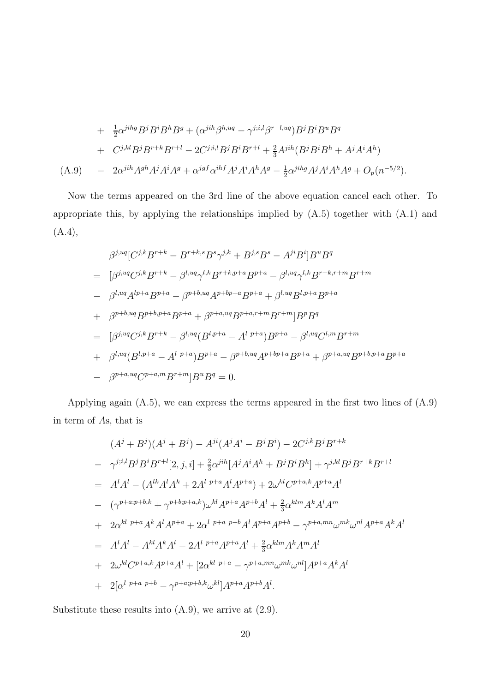$$
+ \frac{1}{2}\alpha^{jihg}B^{j}B^{i}B^{h}B^{g} + (\alpha^{jih}\beta^{h, uq} - \gamma^{j;i,l}\beta^{r+l, uq})B^{j}B^{i}B^{u}B^{q}
$$
  
+  $C^{j,kl}B^{j}B^{r+k}B^{r+l} - 2C^{j;i,l}B^{j}B^{i}B^{r+l} + \frac{2}{3}A^{jih}(B^{j}B^{i}B^{h} + A^{j}A^{i}A^{h})$   
(A.9) 
$$
- 2\alpha^{jih}A^{gh}A^{j}A^{i}A^{g} + \alpha^{jgf}\alpha^{ihf}A^{j}A^{i}A^{h}A^{g} - \frac{1}{2}\alpha^{jihg}A^{j}A^{i}A^{h}A^{g} + O_{p}(n^{-5/2}).
$$

Now the terms appeared on the 3rd line of the above equation cancel each other. To appropriate this, by applying the relationships implied by (A.5) together with (A.1) and  $(A.4),$ 

$$
\beta^{j,uq}[C^{j,k}B^{r+k} - B^{r+k,s}B^s\gamma^{j,k} + B^{j,s}B^s - A^{ji}B^i]B^uB^q
$$
  
\n
$$
= [\beta^{j,uq}C^{j,k}B^{r+k} - \beta^{l,uq}\gamma^{l,k}B^{r+k,p+a}B^{p+a} - \beta^{l,uq}\gamma^{l,k}B^{r+k,r+m}B^{r+m}
$$
  
\n
$$
- \beta^{l,uq}A^{lp+a}B^{p+a} - \beta^{p+b,uq}A^{p+bp+a}B^{p+a} + \beta^{l,uq}B^{l,p+a}B^{p+a}
$$
  
\n
$$
+ \beta^{p+b,uq}B^{p+b,p+a}B^{p+a} + \beta^{p+a,uq}B^{p+a,r+m}B^{r+m}]B^pB^q
$$
  
\n
$$
= [\beta^{j,uq}C^{j,k}B^{r+k} - \beta^{l,uq}(B^{l,p+a} - A^{l-p+a})B^{p+a} - \beta^{l,uq}C^{l,m}B^{r+m}
$$
  
\n
$$
+ \beta^{l,uq}(B^{l,p+a} - A^{l-p+a})B^{p+a} - \beta^{p+b,uq}A^{p+bp+a}B^{p+a} + \beta^{p+a,uq}B^{p+b,p+a}B^{p+a}
$$
  
\n
$$
- \beta^{p+a,uq}C^{p+a,m}B^{r+m}]B^uB^q = 0.
$$

Applying again (A.5), we can express the terms appeared in the first two lines of (A.9) in term of As, that is

$$
(A^{j} + B^{j})(A^{j} + B^{j}) - A^{ji}(A^{j}A^{i} - B^{j}B^{i}) - 2C^{j,k}B^{j}B^{r+k}
$$
  
\n
$$
- \gamma^{j;i,l}B^{j}B^{i}B^{r+l}[2, j, i] + \frac{2}{3}\alpha^{jih}[A^{j}A^{i}A^{h} + B^{j}B^{i}B^{h}] + \gamma^{j,kl}B^{j}B^{r+k}B^{r+l}
$$
  
\n
$$
= A^{l}A^{l} - (A^{lk}A^{l}A^{k} + 2A^{l}P^{+a}A^{l}A^{p+a}) + 2\omega^{kl}C^{p+a,k}A^{p+a}A^{l}
$$
  
\n
$$
- (\gamma^{p+a;p+b,k} + \gamma^{p+b;p+a,k})\omega^{kl}A^{p+a}A^{p+b}A^{l} + \frac{2}{3}\alpha^{klm}A^{k}A^{l}A^{m}
$$
  
\n
$$
+ 2\alpha^{kl}P^{+a}A^{k}A^{l}A^{p+a} + 2\alpha^{l}P^{+a}P^{+b}A^{l}A^{p+a}A^{p+b} - \gamma^{p+a,mn}\omega^{mk}\omega^{nl}A^{p+a}A^{k}A^{l}
$$
  
\n
$$
= A^{l}A^{l} - A^{kl}A^{k}A^{l} - 2A^{l}P^{+a}A^{p+a}A^{l} + \frac{2}{3}\alpha^{klm}A^{k}A^{m}A^{l}
$$
  
\n
$$
+ 2\omega^{kl}C^{p+a,k}A^{p+a}A^{l} + [2\alpha^{kl}P^{+a} - \gamma^{p+a,mn}\omega^{mk}\omega^{nl}]A^{p+a}A^{k}A^{l}
$$
  
\n
$$
+ 2[\alpha^{l}P^{+a}P^{+b} - \gamma^{p+a;p+b,k}\omega^{kl}]A^{p+a}A^{p+b}A^{l}.
$$

Substitute these results into (A.9), we arrive at (2.9).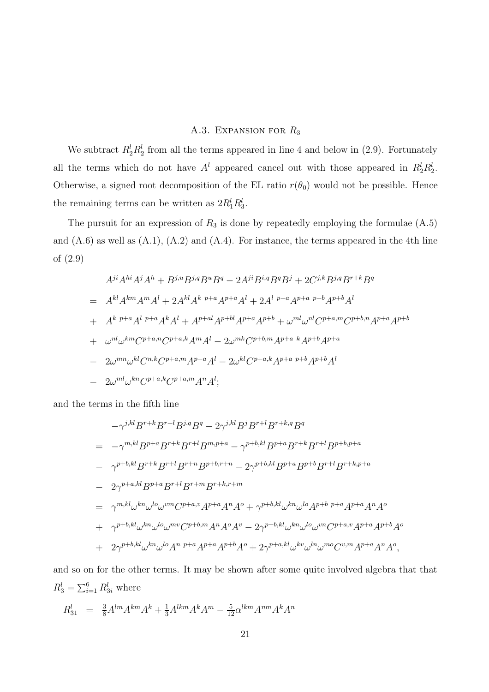# A.3. EXPANSION FOR  $R_3$

We subtract  $R_2^l R_2^l$  from all the terms appeared in line 4 and below in (2.9). Fortunately all the terms which do not have  $A^l$  appeared cancel out with those appeared in  $R_2^l R_2^l$ . Otherwise, a signed root decomposition of the EL ratio  $r(\theta_0)$  would not be possible. Hence the remaining terms can be written as  $2R_1^l R_3^l$ .

The pursuit for an expression of  $R_3$  is done by repeatedly employing the formulae  $(A.5)$ and  $(A.6)$  as well as  $(A.1)$ ,  $(A.2)$  and  $(A.4)$ . For instance, the terms appeared in the 4th line of (2.9)

$$
A^{ji}A^{hi}A^{j}A^{h} + B^{j,u}B^{j,q}B^{u}B^{q} - 2A^{ji}B^{i,q}B^{q}B^{j} + 2C^{j,k}B^{j,q}B^{r+k}B^{q}
$$
  
=  $A^{kl}A^{km}A^{m}A^{l} + 2A^{kl}A^{k}{}^{p+a}A^{p+a}A^{l} + 2A^{l}{}^{p+a}A^{p+a}{}^{p+b}A^{p+b}A^{l}$   
+  $A^{k}{}^{p+a}A^{l}{}^{p+a}A^{k}A^{l} + A^{p+al}A^{p+bl}A^{p+a}A^{p+b} + \omega^{ml}\omega^{nl}C^{p+a,m}C^{p+b,n}A^{p+a}A^{p+b}$   
+  $\omega^{nl}\omega^{km}C^{p+a,n}C^{p+a,k}A^{m}A^{l} - 2\omega^{mk}C^{p+b,m}A^{p+a}{}^{k}A^{p+a}$   
-  $2\omega^{mn}\omega^{kl}C^{n,k}C^{p+a,m}A^{p+a}A^{l} - 2\omega^{kl}C^{p+a,k}A^{p+a}{}^{p+b}A^{p+b}A^{l}$   
-  $2\omega^{ml}\omega^{kn}C^{p+a,k}C^{p+a,m}A^{n}A^{l};$ 

and the terms in the fifth line

$$
-\gamma^{j,kl}B^{r+k}B^{r+l}B^{j,q}B^{q} - 2\gamma^{j,kl}B^{j}B^{r+l}B^{r+k,q}B^{q}
$$
  
\n
$$
= -\gamma^{m,kl}B^{p+a}B^{r+k}B^{r+l}B^{m,p+a} - \gamma^{p+b,kl}B^{p+a}B^{r+k}B^{r+l}B^{p+b,p+a}
$$
  
\n
$$
- \gamma^{p+b,kl}B^{r+k}B^{r+l}B^{r+n}B^{p+b,r+n} - 2\gamma^{p+b,kl}B^{p+a}B^{p+b}B^{r+l}B^{r+k,p+a}
$$
  
\n
$$
- 2\gamma^{p+a,kl}B^{p+a}B^{r+l}B^{r+m}B^{r+k,r+m}
$$
  
\n
$$
= \gamma^{m,kl}\omega^{kn}\omega^{lo}\omega^{vm}C^{p+a,v}A^{p+a}A^{n}A^{o} + \gamma^{p+b,kl}\omega^{kn}\omega^{lo}A^{p+b}P^{+a}A^{p+a}A^{n}A^{o}
$$
  
\n
$$
+ \gamma^{p+b,kl}\omega^{kn}\omega^{lo}\omega^{mv}C^{p+b,m}A^{n}A^{o}A^{v} - 2\gamma^{p+b,kl}\omega^{kn}\omega^{lo}\omega^{vn}C^{p+a,v}A^{p+a}A^{p+b}A^{o}
$$
  
\n
$$
+ 2\gamma^{p+b,kl}\omega^{kn}\omega^{lo}A^{n}P^{+a}A^{p+b}A^{o} + 2\gamma^{p+a,kl}\omega^{kv}\omega^{ln}\omega^{mo}C^{v,m}A^{p+a}A^{n}A^{o},
$$

and so on for the other terms. It may be shown after some quite involved algebra that that  $R_3^l = \sum_{i=1}^6 R_{3i}^l$  where

$$
R_{31}^l \;\; = \;\; \frac{3}{8} A^{lm} A^{km} A^k + \frac{1}{3} A^{lkm} A^k A^m - \frac{5}{12} \alpha^{lkm} A^{nm} A^k A^n
$$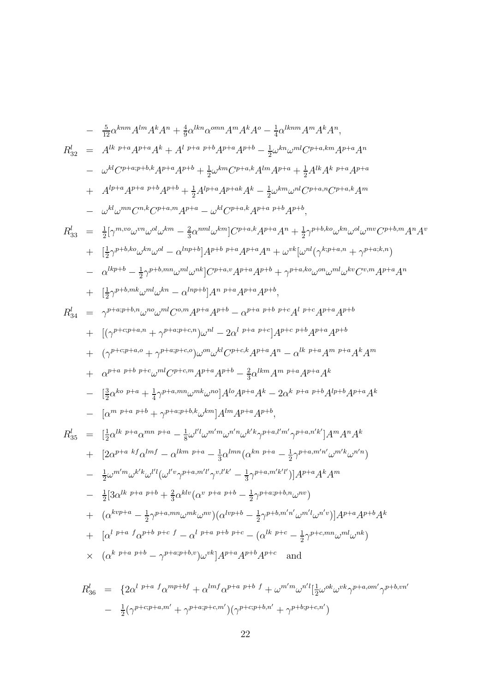$$
R_{32}^{l} = A^{lk} P^{+a} A^{p+a} A^{k} + A^{l} P^{+a} P^{+b} A^{p+a} A^{p+l} - \frac{1}{2} \omega^{kn} \omega^{ml} C^{p+a,kn} A^{p+a} A^{n}
$$
\n
$$
- \omega^{kl} C^{p+a,p+b} A^{p+a} A^{p+b} + \frac{1}{2} \omega^{kn} C^{p+a,kl} A^{p+n} A^{p+a} + \frac{1}{2} A^{lk} A^{k} P^{+a} A^{p+a}
$$
\n
$$
+ A^{lp+a} A^{p+a} P^{+b} A^{p+l} + \frac{1}{2} A^{lp+a} A^{p+a,kl} + \frac{1}{2} \omega^{km} \omega^{nl} C^{p+a,kl} C^{p+a,kl} A^{m}
$$
\n
$$
- \omega^{kl} \omega^{mn} C^{n,k} C^{p+a,ml} A^{p+a} - \omega^{kl} C^{p+a,k} A^{p+a} P^{+b} A^{p+l},
$$
\n
$$
R_{33}^{l} = \frac{1}{2} [\gamma^{m,n} \omega^{jm} \omega^{dk} \omega^{lm} - \frac{2}{3} \alpha^{nml} \omega^{km} [C^{p+a,k} A^{p+a} A^{p+k} \frac{1}{2} \gamma^{p+b,kl} \omega^{kl} \omega^{dl} \omega^{mv} C^{p+b,ml} A^{n} A^{n}
$$
\n
$$
+ \left[ \frac{1}{2} \gamma^{p+b,kl} \omega^{kn} \omega^{nl} - \alpha^{lnp+b} \right] A^{p+b} P^{+a} A^{p+a} A^{p+l} + \omega^{vk} [\omega^{nl} (\gamma^{k,p+a,n} + \gamma^{p+a,kl,n})
$$
\n
$$
- \alpha^{lkp+b} - \frac{1}{2} \gamma^{p+b,mn} \omega^{ml} \omega^{mk} [C^{p+n,n} A^{p+a} A^{p+b} + \gamma^{p+a,kl} \omega^{ml} \omega_{lm} C^{p,m} A^{p+a} A^{n}
$$
\n
$$
+ \left[ (\gamma^{p+q+p+n} \gamma^{ml} \omega^{ml} C^{p,m} A^{p+a} A^{p+b} - \alpha^{p+a,p+b} A^{p+a} A^{p+b} + \alpha^{p+a,kl} A^{p+b} + \alpha^{p+a,kl} A^{p+b} + \alpha^{p+a,kl} A^{p+b} + \alpha^{p+a,
$$

 $\frac{4}{9}\alpha^{lkn}\alpha^{omn}A^mA^kA^o-\frac{1}{4}$ 

 $\frac{1}{4} \alpha^{lkmn} A^m A^k A^n$ ,

 $- \frac{5}{12} \alpha^{knm} A^{lm} A^k A^n + \frac{4}{9}$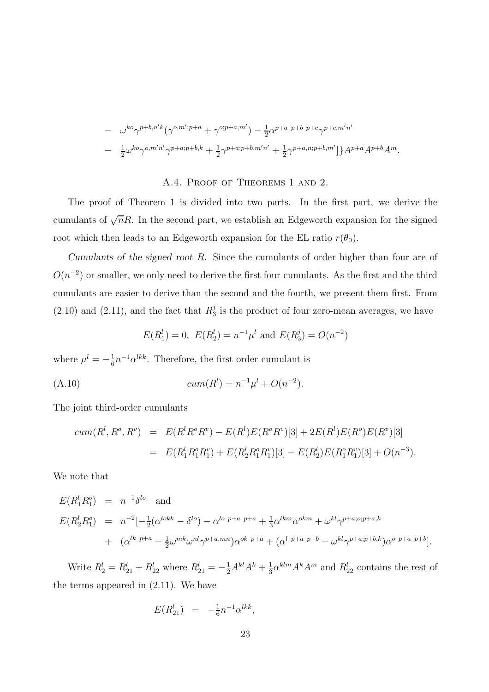$$
- \omega^{ko}\gamma^{p+b,n'k}(\gamma^{o,m';p+a} + \gamma^{o;p+a,m'}) - \frac{1}{2}\alpha^{p+a\ p+b\ p+c}\gamma^{p+c,m'n'}
$$
  

$$
- \frac{1}{2}\omega^{ko}\gamma^{o,m'n'}\gamma^{p+a;p+b,k} + \frac{1}{2}\gamma^{p+a;p+b,m'n'} + \frac{1}{2}\gamma^{p+a,n;p+b,m'}]\}A^{p+a}A^{p+b}A^m.
$$

## A.4. Proof of Theorems 1 and 2.

The proof of Theorem 1 is divided into two parts. In the first part, we derive the cumulants of  $\sqrt{n}R$ . In the second part, we establish an Edgeworth expansion for the signed root which then leads to an Edgeworth expansion for the EL ratio  $r(\theta_0)$ .

Cumulants of the signed root R. Since the cumulants of order higher than four are of  $O(n^{-2})$  or smaller, we only need to derive the first four cumulants. As the first and the third cumulants are easier to derive than the second and the fourth, we present them first. From  $(2.10)$  and  $(2.11)$ , and the fact that  $R_3^j$  $\frac{3}{3}$  is the product of four zero-mean averages, we have

$$
E(R_1^l) = 0
$$
,  $E(R_2^l) = n^{-1} \mu^l$  and  $E(R_3^j) = O(n^{-2})$ 

where  $\mu^l = -\frac{1}{6}$  $\frac{1}{6}n^{-1}\alpha^{lkk}$ . Therefore, the first order cumulant is

(A.10) 
$$
cum(R^{l}) = n^{-1}\mu^{l} + O(n^{-2}).
$$

The joint third-order cumulants

$$
cum(R^l, R^o, R^v) = E(R^l R^o R^v) - E(R^l) E(R^o R^v) [3] + 2E(R^l) E(R^o) E(R^v) [3]
$$
  
= 
$$
E(R^l_1 R^o_1 R^v_1) + E(R^l_2 R^o_1 R^v_1) [3] - E(R^l_2) E(R^o_1 R^v_1) [3] + O(n^{-3}).
$$

We note that

$$
E(R_1^l R_1^o) = n^{-1} \delta^{lo} \text{ and}
$$
  
\n
$$
E(R_2^l R_1^o) = n^{-2} \left[-\frac{1}{2}(\alpha^{lokk} - \delta^{lo}) - \alpha^{lo \ p+a \ p+a} + \frac{1}{3}\alpha^{lkm}\alpha^{okm} + \omega^{kl}\gamma^{p+a;o;p+a,k} + (\alpha^{lk \ p+a} - \frac{1}{2}\omega^{mk}\omega^{nl}\gamma^{p+a;mn})\alpha^{ok \ p+a} + (\alpha^{l \ p+a \ p+b} - \omega^{kl}\gamma^{p+a;p+b,k})\alpha^{o \ p+a \ p+b}\right].
$$

Write  $R_2^l = R_{21}^l + R_{22}^l$  where  $R_{21}^l = -\frac{1}{2}A^{kl}A^k + \frac{1}{3}$  $\frac{1}{3} \alpha^{klm} A^k A^m$  and  $R_{22}^l$  contains the rest of the terms appeared in (2.11). We have

$$
E(R_{21}^l) = -\frac{1}{6}n^{-1}\alpha^{lkk},
$$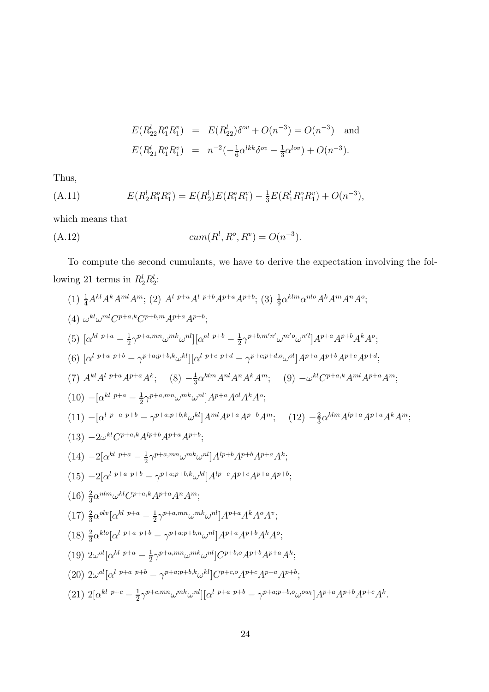$$
E(R_{22}^l R_1^o R_1^v) = E(R_{22}^l) \delta^{ov} + O(n^{-3}) = O(n^{-3}) \text{ and}
$$
  

$$
E(R_{21}^l R_1^o R_1^v) = n^{-2} \left(-\frac{1}{6} \alpha^{lkk} \delta^{ov} - \frac{1}{3} \alpha^{lov}\right) + O(n^{-3}).
$$

Thus,

(A.11) 
$$
E(R_2^l R_1^o R_1^v) = E(R_2^l) E(R_1^o R_1^v) - \frac{1}{3} E(R_1^l R_1^o R_1^v) + O(n^{-3}),
$$

which means that

(A.12) 
$$
cum(R^l, R^o, R^v) = O(n^{-3}).
$$

To compute the second cumulants, we have to derive the expectation involving the following 21 terms in  $R_2^l R_2^l$ :

(1) 
$$
\frac{1}{4}A^{kl}A^{k}A^{ml}A^{m}
$$
; (2)  $A^{l} P^{+a}A^{l} P^{+b}A^{p+a}A^{p+b}$ ; (3)  $\frac{1}{9}\alpha^{klm}\alpha^{nlo}A^{k}A^{m}A^{n}A^{o}$ ;  
\n(4)  $\omega^{kl}\omega^{ml}C^{p+a,k}C^{p+b,m}A^{p+a}A^{p+b}$ ;  
\n(5)  $[\alpha^{kl} P^{+a} - \frac{1}{2}\gamma^{p+a,mn}\omega^{mk}\omega^{nl}][\alpha^{ol} P^{+b} - \frac{1}{2}\gamma^{p+b,m'n'}\omega^{m'o}\omega^{nl}]A^{p+a}A^{p+b}A^{k}A^{o}$ ;  
\n(6)  $[\alpha^{l} P^{+a} P^{+b} - \gamma^{p+a,p+b}k\omega^{kl}][\alpha^{l} P^{+c} P^{+d} - \gamma^{p+c}P^{+d}A^{o}\omega^{ol}]A^{p+a}A^{p+b}A^{p+c}A^{p+d}$ ;  
\n(7)  $A^{kl}A^{l} P^{+a}A^{p+a}A^{k}$ ; (8)  $-\frac{1}{3}\alpha^{klm}A^{nl}A^{n}A^{k}A^{m}$ ; (9)  $-\omega^{kl}C^{p+a,k}A^{ml}A^{p+a}A^{m}$ ;  
\n(10)  $[-[\alpha^{l} P^{+a} P^{+b} - \gamma^{p+a,pn}\omega^{mk}\omega^{nl}]A^{p+a}A^{d}A^{k}A^{o}$ ;  
\n(11)  $[-[\alpha^{l} P^{+a} P^{+b} - \gamma^{p+a,p+b}k\omega^{kl}]A^{ml}A^{p+a}A^{p+b}A^{m}$ ; (12)  $-\frac{2}{3}\alpha^{klm}A^{lp+a}A^{p+a}A^{k}A^{m}$ ;  
\n(13)  $-2\omega^{kl}C^{p+a,k}A^{lp+b}A^{p+a}A^{p+b}$ ;  
\n(14)  $-2[\alpha^{l} P^{+a} P^{+a}A^{p}A^{n}A^{m}$ ;  
\n(15)  $-2[\alpha^{l} P^{+a} P^{+a}A^{n}A^{m}A^{m}$ ;  
\n(16)  $\frac{2}{3}\alpha^{nlm}\omega^{kl}C^{p+a,k}A^{$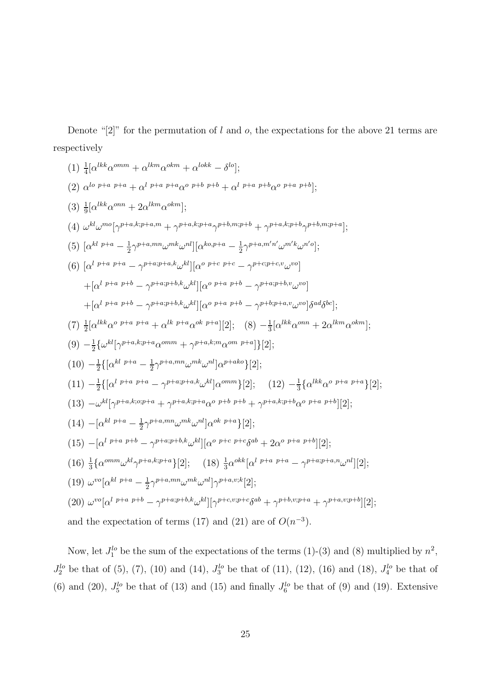(1) 
$$
\frac{1}{4} [\alpha^{lkk} \alpha^{omm} + \alpha^{lkm} \alpha^{okm} + \alpha^{lokk} - \delta^{lo}]
$$
;  
\n(2)  $\alpha^{lo\ p+a\ p+a} + \alpha^{l\ p+a\ p+a\alpha^{o\ p+b\ p+b} + \alpha^{l\ p+a\ p+b\alpha^{o\ p+a\ p+b}}]$ ;  
\n(3)  $\frac{1}{9} [\alpha^{lkk} \alpha^{om} + 2\alpha^{lkm} \alpha^{okm}]$ ;  
\n(4)  $\omega^{kl} \omega^{mo} [\gamma^{p+a,k;p+a,m} + \gamma^{p+a,k;p+a} \gamma^{p+b,m;p+b} + \gamma^{p+a,k;p+b} \gamma^{p+b,m;p+a}]$ ;  
\n(5)  $[\alpha^{kl\ p+a} - \frac{1}{2} \gamma^{p+a,mn} \omega^{mk} \omega^{nl}] [\alpha^{ko,p+a} - \frac{1}{2} \gamma^{p+a,m'n'} \omega^{m'k} \omega^{m'j}]$ ;  
\n(6)  $[\alpha^{l\ p+a\ p+a} - \gamma^{p+a;p+a,k} \omega^{kl}] [\alpha^{o\ p+a\ p+b} - \gamma^{p+cp+c,v} \omega^{vo}]$   
\n $+ [\alpha^{l\ p+a\ p+b} - \gamma^{p+a;p+b,k} \omega^{kl}] [\alpha^{o\ p+a\ p+b} - \gamma^{p+cp+a,v} \omega^{vo}]$   
\n $+ [\alpha^{l\ p+a\ p+b} - \gamma^{p+a;p+b,k} \omega^{kl}] [\alpha^{o\ p+a\ p+b} - \gamma^{p+b;p+a,v} \omega^{vo}] \delta^{ad} \delta^{bc}]$ ;  
\n(7)  $\frac{1}{2} [\alpha^{lkk} \alpha^{o\ p+a\ p+a} + \alpha^{lk\ p+a} \alpha^{ok\ p+a}] [2];$  (8)  $-\frac{1}{3} [\alpha^{lkk} \alpha^{om} + 2\alpha^{lkm} \alpha^{okm}]$ ;  
\n(9)  $-\frac{1}{2} {\{\omega^{kl} [\gamma^{p+a,k;p+a} \alpha^{omm} + \gamma^{p+a,k;m} \alpha^{om\ p+a}]} [2];$   
\n(10)  $-\frac{1}{2} {\{\alpha^{l\ p+a} + a - \gamma^{p+a,p+a,k} \omega^{kl} ] \alpha^{p+m}} [2];$   
\n(11)  $-\frac{1}{2} {\{\alpha^{l\ p+a} + \alpha^{l\ p$ 

Denote "[2]" for the permutation of l and o, the expectations for the above 21 terms are

respectively

Now, let  $J_1^{lo}$  be the sum of the expectations of the terms (1)-(3) and (8) multiplied by  $n^2$ ,  $J_2^{lo}$  be that of (5), (7), (10) and (14),  $J_3^{lo}$  be that of (11), (12), (16) and (18),  $J_4^{lo}$  be that of (6) and (20),  $J_5^{lo}$  be that of (13) and (15) and finally  $J_6^{lo}$  be that of (9) and (19). Extensive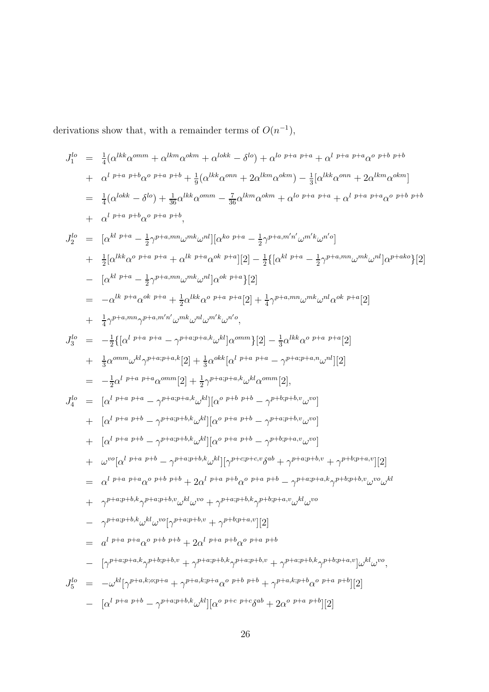$$
J_1^{lo} = \frac{1}{4} (\alpha^{lkk} \alpha^{mm} + \alpha^{lkm} \alpha^{okm} + \alpha^{lokk} - \delta^{lo}) + \alpha^{lo} p+a p+a q + \alpha^{l p+a} p+a \alpha^{o} p+b p+b
$$
  
+  $\alpha^{l} p+a p+b \alpha^{o} p+a p+b + \frac{1}{9} (\alpha^{lkk} \alpha^{mm} + 2\alpha^{lkm} \alpha^{okm}) - \frac{1}{3} [\alpha^{lkk} \alpha^{mm} + 2\alpha^{lkm} \alpha^{okm}]$   
=  $\frac{1}{4} (\alpha^{lokk} - \delta^{lo}) + \frac{1}{36} \alpha^{lkk} \alpha^{mm} - \frac{7}{36} \alpha^{lkm} \alpha^{okm} + \alpha^{lo} p+a p+a + \alpha^{l} p+a p+a \alpha^{o} p+b p+b$   
+  $\alpha^{l} p+a p+b \alpha^{o} p+a p+b$ ,  

$$
J_2^{lo} = [\alpha^{kl} p+a - \frac{1}{2} \gamma p+a, m \omega^{mk} \omega^{nl}][\alpha^{ko} p+a - \frac{1}{2} \gamma p+a, m' \omega^{mk} \omega^{n'o}]
$$
  
+  $\frac{1}{2} [\alpha^{lkk} \alpha^{o} p+a p+a + \alpha^{lk} p+a \alpha^{k} p+a] [2] - \frac{1}{2} {\{\alpha^{lkl} p+a - \frac{1}{2} \gamma p+a, m \omega^{mk} \omega^{nl}[\alpha^{p+ako}} \} [2]$   
-  $[\alpha^{kl} p+a - \frac{1}{2} \gamma p+a, m \omega^{mk} \omega^{nl}][\alpha^{ok} p+a] [2]$   
=  $-\alpha^{lk} p+a \alpha^{lk} p+a + \frac{1}{2} \alpha^{lkk} \alpha^{o} p+a p+a [2] + \frac{1}{4} \gamma^{p+a}, m \omega^{ml} \omega^{nl} \alpha^{ok} p+a [2]$   
+  $\frac{1}{4} \gamma^{p+a}, m \gamma^{p+a}, m' \omega^{ml} \omega^{ml} \omega^{ml} \omega^{ml} \omega^{ml}$   
+  $\frac{1}{2} \alpha^{mm} \omega^{kl} \gamma^{p+a} p+a - \gamma p+a+p+a \alpha^{l\alpha} \omega^{lm} \omega^{lm} \omega^{lm}$   
+  $\frac{1}{3} \alpha^{mm} \omega^{kl} \gamma^{p+a} p$ 

derivations show that, with a remainder terms of  $O(n^{-1})$ ,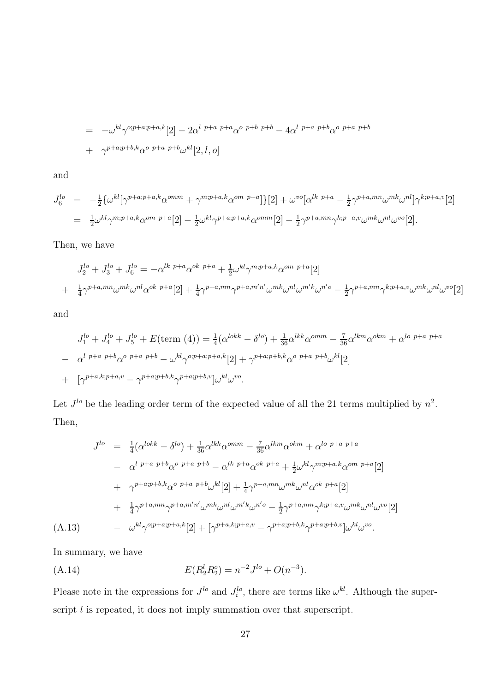$$
= -\omega^{kl} \gamma^{o;p+a;p+a,k}[2] - 2\alpha^{l\ p+a\ p+a} \alpha^{o\ p+b\ -} 4\alpha^{l\ p+a\ p+b} \alpha^{o\ p+a\ p+b}
$$
  
+  $\gamma^{p+a;p+b,k} \alpha^{o\ p+a\ p+b} \omega^{kl}[2,l,o]$ 

and

$$
J_6^{lo} = -\frac{1}{2} \{ \omega^{kl} [\gamma^{p+a;p+a,k} \alpha^{omm} + \gamma^{m;p+a,k} \alpha^{om p+a} ] \} [2] + \omega^{vo} [\alpha^{lk \ p+a} - \frac{1}{2} \gamma^{p+a,mn} \omega^{mk} \omega^{nl}] \gamma^{k;p+a,v} [2]
$$
  
=  $\frac{1}{2} \omega^{kl} \gamma^{m;p+a,k} \alpha^{om \ p+a} [2] - \frac{1}{2} \omega^{kl} \gamma^{p+a;p+a,k} \alpha^{omm} [2] - \frac{1}{2} \gamma^{p+a,mn} \gamma^{k;p+a,v} \omega^{mk} \omega^{nl} \omega^{vo} [2].$ 

Then, we have

$$
J_2^{lo} + J_3^{lo} + J_6^{lo} = -\alpha^{lk \ p+a} \alpha^{ok \ p+a} + \frac{1}{2} \omega^{kl} \gamma^{m;p+a,k} \alpha^{om \ p+a}[2]
$$
  
+  $\frac{1}{4} \gamma^{p+a,mn} \omega^{mk} \omega^{nl} \alpha^{ok \ p+a}[2] + \frac{1}{4} \gamma^{p+a,mn} \gamma^{p+a,m'n'} \omega^{mk} \omega^{nl} \omega^{m'k} \omega^{n'o} - \frac{1}{2} \gamma^{p+a,mn} \gamma^{k;p+a,v} \omega^{mk} \omega^{nl} \omega^{vo}[2]$ 

and

$$
J_1^{lo} + J_4^{lo} + J_5^{lo} + E(\text{term (4)}) = \frac{1}{4}(\alpha^{lokk} - \delta^{lo}) + \frac{1}{36}\alpha^{lkk}\alpha^{omm} - \frac{7}{36}\alpha^{lkm}\alpha^{okm} + \alpha^{lo \ p+a} + \alpha^{lo \ p+a} + \alpha^{o \ p+a} + \alpha^{o \ p+a} + \alpha^{o \ p+a} + \alpha^{o \ p+a} + \alpha^{o \ p+a} + \alpha^{o \ p+a} + \alpha^{o \ p+a} + \alpha^{o \ p+a} + \alpha^{o \ p+a} + \alpha^{o \ p+a} + \alpha^{o \ p+a} + \alpha^{o \ p+a} + \alpha^{o \ p+a} + \alpha^{o \ p+a} + \alpha^{o \ p+a} + \alpha^{o \ p+a} + \alpha^{o \ p+a} + \alpha^{o \ p+a} + \alpha^{o \ p+a} + \alpha^{o \ p+a} + \alpha^{o \ p+a} + \alpha^{o \ p+a} + \alpha^{o \ p+a} + \alpha^{o \ p+a} + \alpha^{o \ p+a} + \alpha^{o \ p+a} + \alpha^{o \ p+a} + \alpha^{o \ p+a} + \alpha^{o \ p+a} + \alpha^{o \ p+a} + \alpha^{o \ p+a} + \alpha^{o \ p+a} + \alpha^{o \ p+a} + \alpha^{o \ p+a} + \alpha^{o \ p+a} + \alpha^{o \ p+a} + \alpha^{o \ p+a} + \alpha^{o \ p+a} + \alpha^{o \ p+a} + \alpha^{o \ p+a} + \alpha^{o \ p+a} + \alpha^{o \ p+a} + \alpha^{o \ p+a} + \alpha^{o \ p+a} + \alpha^{o \ p+a} + \alpha^{o \ p+a} + \alpha^{o \ p+a} + \alpha^{o \ p+a} + \alpha^{o \ p+a} + \alpha^{o \ p+a} + \alpha^{o \ p+a} + \alpha^{o \ p+a} + \alpha^{o \ p+a} + \alpha^{o \ p+a} + \alpha^{o \ p+a} + \alpha^{o \ p+a} + \alpha^{o \ p+a} + \alpha^{o \ p+a} + \alpha^{o \ p+a} + \alpha^{o \ p+a} + \alpha^{o \ p+a} + \alpha^{o \ p+a} + \alpha^{o \ p+a} + \alpha^{o \ p+a} + \alpha^{o \ p+a} + \alpha^{o \ p+a} + \alpha^{o \ p+a} + \alpha^{o \ p+a} + \alpha^{o \ p+a} + \alpha^{o \ p+a} + \alpha^{o \ p+a} + \alpha^{o \ p+a} + \alpha^{o \
$$

Let  $J^{lo}$  be the leading order term of the expected value of all the 21 terms multiplied by  $n^2$ . Then,

$$
J^{lo} = \frac{1}{4} (\alpha^{lokk} - \delta^{lo}) + \frac{1}{36} \alpha^{lkk} \alpha^{omm} - \frac{7}{36} \alpha^{lkm} \alpha^{okm} + \alpha^{lo \; p+a \; p+a}
$$
  
\n
$$
- \alpha^{l \; p+a \; p+b} \alpha^{o \; p+a \; p+b} - \alpha^{lk \; p+a} \alpha^{ok \; p+a} + \frac{1}{2} \omega^{kl} \gamma^{m;p+a,k} \alpha^{om \; p+a} [2]
$$
  
\n
$$
+ \gamma^{p+a;p+b,k} \alpha^{o \; p+a \; p+b} \omega^{kl} [2] + \frac{1}{4} \gamma^{p+a,mn} \omega^{mk} \omega^{nl} \alpha^{ok \; p+a} [2]
$$
  
\n
$$
+ \frac{1}{4} \gamma^{p+a,mn} \gamma^{p+a,m'n'} \omega^{mk} \omega^{nl} \omega^{m'k} \omega^{n'o} - \frac{1}{2} \gamma^{p+a,mn} \gamma^{k;p+a,v} \omega^{mk} \omega^{nl} \omega^{vo} [2]
$$
  
\n(A.13) 
$$
- \omega^{kl} \gamma^{o;p+a;p+a,k} [2] + [\gamma^{p+a,k;p+a,v} - \gamma^{p+a;p+b,k} \gamma^{p+a;p+b,v}] \omega^{kl} \omega^{vo}.
$$

In summary, we have

(A.14) 
$$
E(R_2^l R_2^o) = n^{-2} J^{lo} + O(n^{-3}).
$$

Please note in the expressions for  $J^{lo}$  and  $J_i^{lo}$ , there are terms like  $\omega^{kl}$ . Although the superscript *l* is repeated, it does not imply summation over that superscript.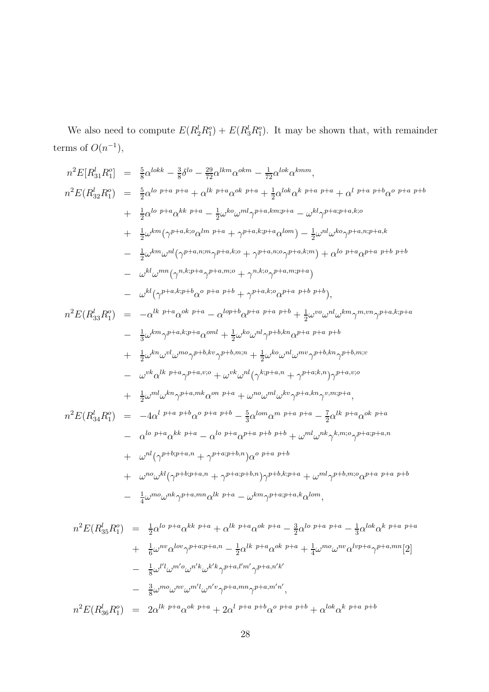We also need to compute  $E(R_2^l R_1^o) + E(R_3^l R_1^o)$ . It may be shown that, with remainder terms of  $O(n^{-1}),$ 

n <sup>2</sup>E[R l <sup>31</sup>R o 1 ] = 5 8 α lokk <sup>−</sup> <sup>3</sup> 8 δ lo <sup>−</sup> <sup>29</sup> <sup>72</sup>α lkmα okm <sup>−</sup> <sup>1</sup> <sup>72</sup>α lokα kmm, n <sup>2</sup>E(R l <sup>32</sup>R o 1 ) = 5 2 α lo <sup>p</sup>+<sup>a</sup> <sup>p</sup>+<sup>a</sup> + α lk <sup>p</sup>+<sup>a</sup>α ok <sup>p</sup>+<sup>a</sup> + 1 2 α lokα <sup>k</sup> <sup>p</sup>+<sup>a</sup> <sup>p</sup>+<sup>a</sup> + α <sup>l</sup> <sup>p</sup>+<sup>a</sup> <sup>p</sup>+<sup>b</sup>α o p+a p+b + 1 2 α lo <sup>p</sup>+<sup>a</sup>α kk <sup>p</sup>+<sup>a</sup> − 1 2 ω koω mlγ <sup>p</sup>+a,km;p+<sup>a</sup> − ω klγ p+a;p+a,k;o + 1 2 ω km(γ <sup>p</sup>+a,k;<sup>o</sup>α lm <sup>p</sup>+<sup>a</sup> + γ <sup>p</sup>+a,k;p+<sup>a</sup>α lom) <sup>−</sup> <sup>1</sup> 2 ω nlω koγ p+a,n;p+a,k − 1 2 ω kmω nl(γ <sup>p</sup>+a,n;<sup>m</sup>γ <sup>p</sup>+a,k;<sup>o</sup> + γ <sup>p</sup>+a,n;<sup>o</sup>γ <sup>p</sup>+a,k;<sup>m</sup>) + α lo <sup>p</sup>+<sup>a</sup>α p+a p+b p+b − ω klω mn(γ n,k;p+a γ <sup>p</sup>+a,m;<sup>o</sup> + γ n,k;o γ p+a,m;p+a ) − ω kl (γ <sup>p</sup>+a,k;p+<sup>b</sup>α <sup>o</sup> <sup>p</sup>+<sup>a</sup> <sup>p</sup>+<sup>b</sup> + γ <sup>p</sup>+a,k;<sup>o</sup>α p+a p+b p+b ), n <sup>2</sup>E(R l <sup>33</sup>R o 1 ) = −α lk <sup>p</sup>+<sup>a</sup>α ok <sup>p</sup>+<sup>a</sup> <sup>−</sup> <sup>α</sup> lop+<sup>b</sup>α <sup>p</sup>+<sup>a</sup> <sup>p</sup>+<sup>a</sup> <sup>p</sup>+<sup>b</sup> + 1 2 ω voω nlω kmγ m,vnγ p+a,k;p+a − 1 3 ω kmγ <sup>p</sup>+a,k;p+<sup>a</sup>α oml + 1 2 ω koω nlγ <sup>p</sup>+b,knα p+a p+a p+b + 1 2 ω knω vlω moγ <sup>p</sup>+b,kvγ <sup>p</sup>+b,m;<sup>n</sup> + 1 2 ω koω nlω mvγ <sup>p</sup>+b,knγ p+b,m;v − ω vkα lk p+a γ <sup>p</sup>+a,v;<sup>o</sup> + ω vkω nl(γ <sup>k</sup>;p+a,n + γ <sup>p</sup>+a;k,n)γ p+a,v;o + 1 2 ω mlω knγ <sup>p</sup>+a,mkα on <sup>p</sup>+<sup>a</sup> + ω noω mlω kvγ <sup>p</sup>+a,knγ v,m;p+a , n <sup>2</sup>E(R l <sup>34</sup>R o 1 ) = −4α <sup>l</sup> <sup>p</sup>+<sup>a</sup> <sup>p</sup>+<sup>b</sup>α <sup>o</sup> <sup>p</sup>+<sup>a</sup> <sup>p</sup>+<sup>b</sup> <sup>−</sup> 5 3 α lomα <sup>m</sup> <sup>p</sup>+<sup>a</sup> <sup>p</sup>+<sup>a</sup> − 7 2 α lk <sup>p</sup>+<sup>a</sup>α ok p+a − α lo <sup>p</sup>+<sup>a</sup>α kk <sup>p</sup>+<sup>a</sup> <sup>−</sup> <sup>α</sup> lo <sup>p</sup>+<sup>a</sup>α <sup>p</sup>+<sup>a</sup> <sup>p</sup>+<sup>b</sup> <sup>p</sup>+<sup>b</sup> + ω mlω nkγ k,m;o γ p+a;p+a,n + ω nl(γ <sup>p</sup>+b;p+a,n + γ <sup>p</sup>+a;p+b,n)α o p+a p+b + ω noω kl (γ <sup>p</sup>+b;p+a,n + γ <sup>p</sup>+a;p+b,n)γ <sup>p</sup>+b,k;p+<sup>a</sup> + ω mlγ <sup>p</sup>+b,m;<sup>o</sup>α p+a p+a p+b − 1 4 ω moω nkγ <sup>p</sup>+a,mnα lk <sup>p</sup>+<sup>a</sup> − ω kmγ <sup>p</sup>+a;p+a,kα lom, n <sup>2</sup>E(R l <sup>35</sup>R o 1 ) = 1 2 α lo <sup>p</sup>+<sup>a</sup>α kk <sup>p</sup>+<sup>a</sup> + α lk <sup>p</sup>+<sup>a</sup>α ok <sup>p</sup>+<sup>a</sup> <sup>−</sup> <sup>3</sup> 2 α lo <sup>p</sup>+<sup>a</sup> <sup>p</sup>+<sup>a</sup> <sup>−</sup> <sup>1</sup> 3 α lokα k p+a p+a + 1 6 ω nvα lovγ <sup>p</sup>+a;p+a,n − 1 2 α lk <sup>p</sup>+<sup>a</sup>α ok <sup>p</sup>+<sup>a</sup> + 1 4 ω moω nvα lvp+<sup>a</sup>γ <sup>p</sup>+a,mn[2] − 1 8 ω l 0 lω <sup>m</sup>0<sup>o</sup>ω n 0kω k 0kγ p+a,l0m<sup>0</sup> γ p+a,n0k 0 <sup>−</sup> <sup>3</sup> 8 ω moω nvω m0 lω n 0vγ <sup>p</sup>+a,mnγ p+a,m0n 0 ,

28

 $n^2 E(R_{36}^l R_1^o) = 2 \alpha^{lk\ p+a} \alpha^{ok\ p+a} + 2 \alpha^{l\ p+a\ p+b} \alpha^{o\ p+a\ p+b} + \alpha^{lok} \alpha^{k\ p+a\ p+b}$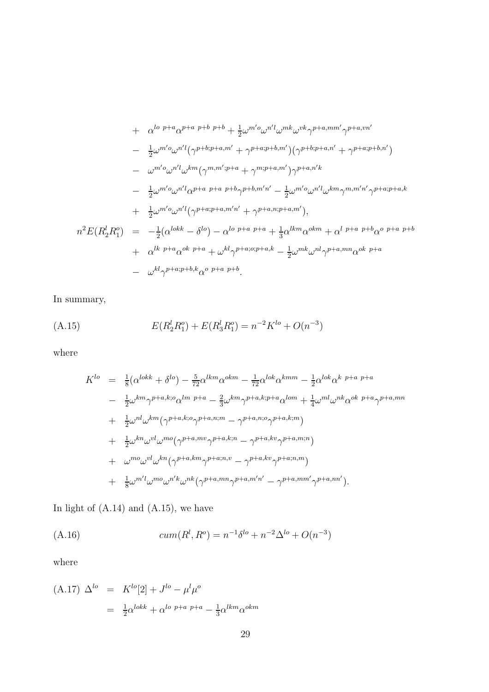+ 
$$
\alpha^{lo\ p+a} \alpha^{p+a\ p+b\ p+b} + \frac{1}{2} \omega^{m'o} \omega^{n'l} \omega^{mk} \omega^{vk} \gamma^{p+a,mm'} \gamma^{p+a,vm'}
$$
  
\n-  $\frac{1}{2} \omega^{m'o} \omega^{n'l} (\gamma^{p+b;p+a,m'} + \gamma^{p+a;p+b,m'}) (\gamma^{p+b;p+a,n'} + \gamma^{p+a;p+b,n'})$   
\n-  $\omega^{m'o} \omega^{n'l} \omega^{km} (\gamma^{m,m';p+a} + \gamma^{m;p+a,m'}) \gamma^{p+a,n'k}$   
\n-  $\frac{1}{2} \omega^{m'o} \omega^{n'l} \alpha^{p+a\ p+a\ p+b} \gamma^{p+b,m'n'} - \frac{1}{2} \omega^{m'o} \omega^{n'l} \omega^{km} \gamma^{m,m'n'} \gamma^{p+a;p+a,k}$   
\n+  $\frac{1}{2} \omega^{m'o} \omega^{n'l} (\gamma^{p+a;p+a,m'n'} + \gamma^{p+a,n;p+a,m'})$ ,  
\n $n^2 E(R_2^l R_1^o) = -\frac{1}{2} (\alpha^{lokk} - \delta^{lo}) - \alpha^{lo\ p+a\ p+a} + \frac{1}{3} \alpha^{lkm} \alpha^{okm} + \alpha^{l\ p+a\ p+b} \alpha^{o\ p+a\ p+b}$   
\n+  $\alpha^{lk\ p+a} \alpha^{ok\ p+a} + \omega^{kl} \gamma^{p+a;p+a,k} - \frac{1}{2} \omega^{mk} \omega^{nl} \gamma^{p+a,mn} \alpha^{ok\ p+a}$   
\n-  $\omega^{kl} \gamma^{p+a;p+b,k} \alpha^{o\ p+a\ p+b}$ .

In summary,

(A.15) 
$$
E(R_2^l R_1^o) + E(R_3^l R_1^o) = n^{-2} K^{lo} + O(n^{-3})
$$

where

$$
K^{lo} = \frac{1}{8}(\alpha^{lokk} + \delta^{lo}) - \frac{5}{72}\alpha^{lkm}\alpha^{okm} - \frac{1}{72}\alpha^{lok}\alpha^{kmm} - \frac{1}{2}\alpha^{lok}\alpha^{k} p+a p+a
$$
  
\n
$$
- \frac{1}{2}\omega^{km}\gamma^{p+a,k;\circ}\alpha^{lm} p+a - \frac{2}{3}\omega^{km}\gamma^{p+a,k;p+a}\alpha^{lom} + \frac{1}{4}\omega^{ml}\omega^{nk}\alpha^{ok} p+a\gamma^{p+a,mn}
$$
  
\n
$$
+ \frac{1}{2}\omega^{nl}\omega^{km}(\gamma^{p+a,k;\circ}\gamma^{p+a,n;m} - \gamma^{p+a,n;\circ}\gamma^{p+a,k;m})
$$
  
\n
$$
+ \frac{1}{2}\omega^{kn}\omega^{vl}\omega^{mo}(\gamma^{p+a,km}\gamma^{p+a,k;n} - \gamma^{p+a,kv}\gamma^{p+a,m;n})
$$
  
\n
$$
+ \omega^{mo}\omega^{vl}\omega^{kn}(\gamma^{p+a,km}\gamma^{p+a;n,v} - \gamma^{p+a,kv}\gamma^{p+a;n,m})
$$
  
\n
$$
+ \frac{1}{8}\omega^{m'l}\omega^{mo}\omega^{n'k}\omega^{nk}(\gamma^{p+a,mn}\gamma^{p+a,m'n'} - \gamma^{p+a,mm'}\gamma^{p+a,nn'})
$$
.

In light of (A.14) and (A.15), we have

(A.16) 
$$
cum(R^l, R^o) = n^{-1} \delta^{lo} + n^{-2} \Delta^{lo} + O(n^{-3})
$$

where

$$
(A.17) \Delta^{lo} = K^{lo}[2] + J^{lo} - \mu^l \mu^o
$$
  
=  $\frac{1}{2} \alpha^{lokk} + \alpha^{lo}{}^{p+a}{}^{p+a} - \frac{1}{3} \alpha^{lkm} \alpha^{okm}$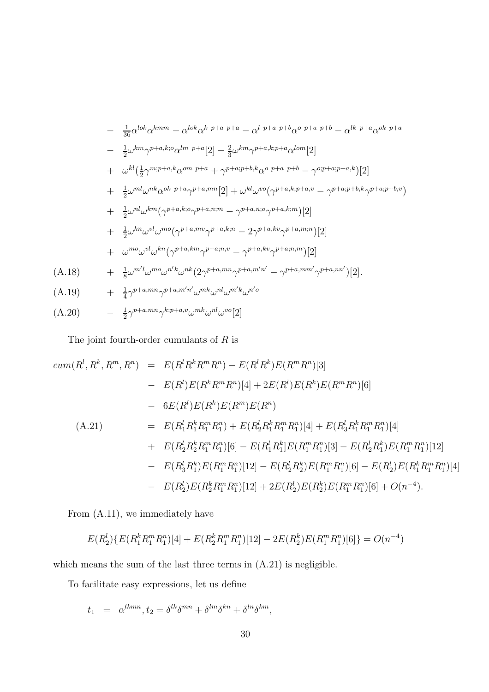$$
-\frac{1}{36}\alpha^{lok}\alpha^{kmm} - \alpha^{lok}\alpha^{k} p+a p+a - \alpha^{l} p+a p+b\alpha^{o} p+a p+b - \alpha^{lk} p+a\alpha^{ok} p+a
$$
  
\n
$$
-\frac{1}{2}\omega^{km}\gamma^{p+a,k;\circ}\alpha^{lm} p+a[2] - \frac{2}{3}\omega^{km}\gamma^{p+a,k;p+a}\alpha^{lom}[2]
$$
  
\n
$$
+\omega^{kl}(\frac{1}{2}\gamma^{m;p+a,k}\alpha^{om} p+a + \gamma^{p+a;p+b,k}\alpha^{o} p+a p+b - \gamma^{o;p+a;p+a,k})[2]
$$
  
\n
$$
+\frac{1}{2}\omega^{ml}\omega^{nk}\alpha^{ok} p+a\gamma^{p+a,mn}[2] + \omega^{kl}\omega^{vo}(\gamma^{p+a,k;p+a,v} - \gamma^{p+a;p+b,k}\gamma^{p+a;p+b,v})
$$
  
\n
$$
+\frac{1}{2}\omega^{nl}\omega^{km}(\gamma^{p+a,k;\circ}\gamma^{p+a,n;m} - \gamma^{p+a,n;\circ}\gamma^{p+a,k;m})[2]
$$
  
\n
$$
+\frac{1}{2}\omega^{kn}\omega^{vl}\omega^{mo}(\gamma^{p+a,km}\gamma^{p+a,k;n} - 2\gamma^{p+a,kv}\gamma^{p+a,m;n})[2]
$$
  
\n
$$
+\omega^{mo}\omega^{vl}\omega^{kn}(\gamma^{p+a,km}\gamma^{p+a;n,v} - \gamma^{p+a,kv}\gamma^{p+a;n,m})[2]
$$
  
\n(A.18) 
$$
+\frac{1}{8}\omega^{ml}\omega^{mo}\omega^{nl}\omega^{nk}(2\gamma^{p+a,mn}\gamma^{p+a,m'n'} - \gamma^{p+a,mm'}\gamma^{p+a,nn'})[2].
$$
  
\n(A.19) 
$$
+\frac{1}{4}\gamma^{p+a,mn}\gamma^{p+a,m'n'}\omega^{mk}\omega^{nl}\omega^{m'k}\omega^{n'o}
$$
  
\n(A.20) 
$$
-\frac{1}{2}\gamma^{p+a,mn}\gamma^{k;p+a,v}\omega^{mk}\omega^{nl}\omega^{vo}[2]
$$

The joint fourth-order cumulants of  $R$  is

$$
cum(R^l, R^k, R^m, R^n) = E(R^l R^k R^m R^n) - E(R^l R^k) E(R^m R^n)[3]
$$
  
\n
$$
- E(R^l) E(R^k R^m R^n)[4] + 2E(R^l) E(R^k) E(R^m R^n)[6]
$$
  
\n
$$
- 6E(R^l) E(R^k) E(R^m) E(R^n)
$$
  
\n(A.21) 
$$
= E(R^l_1 R^k_1 R^m_1 R^n_1) + E(R^l_2 R^k_1 R^m_1 R^n_1)[4] + E(R^l_3 R^k_1 R^m_1 R^n_1)[4]
$$
  
\n
$$
+ E(R^l_2 R^k_2 R^m_1 R^n_1)[6] - E(R^l_1 R^k_1] E(R^m_1 R^n_1)[3] - E(R^l_2 R^k_1) E(R^m_1 R^n_1)[12]
$$
  
\n
$$
- E(R^l_3 R^k_1) E(R^m_1 R^n_1)[12] - E(R^l_2 R^k_2) E(R^m_1 R^n_1)[6] - E(R^l_2) E(R^k_1 R^m_1 R^n_1)[4]
$$
  
\n
$$
- E(R^l_2) E(R^k_2 R^m_1 R^n_1)[12] + 2E(R^l_2) E(R^k_2) E(R^m_1 R^n_1)[6] + O(n^{-4}).
$$

From (A.11), we immediately have

$$
E(R_2^l)\{E(R_1^k R_1^m R_1^n)[4] + E(R_2^k R_1^m R_1^n)[12] - 2E(R_2^k)E(R_1^m R_1^n)[6]\} = O(n^{-4})
$$

which means the sum of the last three terms in  $(A.21)$  is negligible.

To facilitate easy expressions, let us define

$$
t_1 = \alpha^{lkmn}, t_2 = \delta^{lk}\delta^{mn} + \delta^{lm}\delta^{kn} + \delta^{ln}\delta^{km},
$$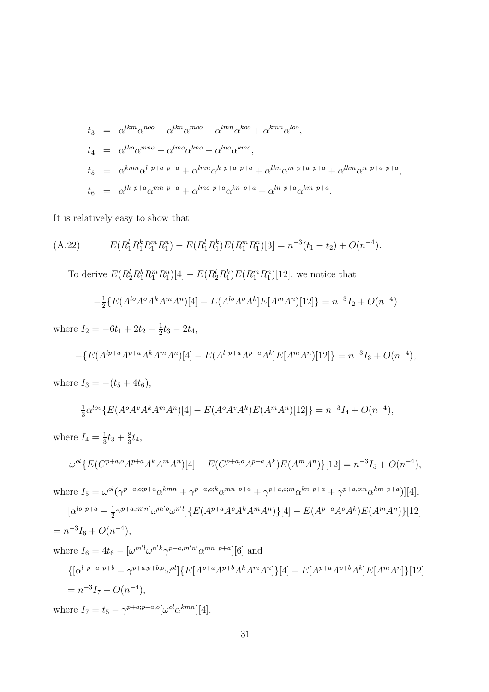$$
t_3 = \alpha^{lkm} \alpha^{noo} + \alpha^{lkn} \alpha^{moo} + \alpha^{lmn} \alpha^{koo} + \alpha^{kmn} \alpha^{loo},
$$
  
\n
$$
t_4 = \alpha^{lko} \alpha^{mno} + \alpha^{lmo} \alpha^{kno} + \alpha^{lno} \alpha^{kmo},
$$
  
\n
$$
t_5 = \alpha^{kmn} \alpha^{l p+a p+a} + \alpha^{lmn} \alpha^{k p+a p+a} + \alpha^{lkn} \alpha^{m p+a} + \alpha^{lkm} \alpha^{n p+a p+a},
$$
  
\n
$$
t_6 = \alpha^{l k p+a} \alpha^{mn p+a} + \alpha^{lmo p+a} \alpha^{kn p+a} + \alpha^{l n p+a} \alpha^{km p+a}.
$$

It is relatively easy to show that

(A.22) 
$$
E(R_1^l R_1^k R_1^m R_1^n) - E(R_1^l R_1^k) E(R_1^m R_1^n) [3] = n^{-3} (t_1 - t_2) + O(n^{-4}).
$$

To derive  $E(R_2^l R_1^k R_1^m R_1^n)[4] - E(R_2^l R_1^k) E(R_1^m R_1^n)[12]$ , we notice that

$$
-\frac{1}{2}\left\{E(A^{lo}A^oA^kA^mA^n)[4] - E(A^{lo}A^oA^k]E[A^mA^n)[12]\right\} = n^{-3}I_2 + O(n^{-4})
$$

where  $I_2 = -6t_1 + 2t_2 - \frac{1}{2}$  $\frac{1}{2}t_3-2t_4$ 

$$
-\{E(A^{lp+a}A^{p+a}A^kA^mA^n)[4] - E(A^{l\ p+a}A^{p+a}A^k]E[A^mA^n)[12]\} = n^{-3}I_3 + O(n^{-4}),
$$

where  $I_3 = -(t_5 + 4t_6)$ ,

$$
\frac{1}{3}\alpha^{low} \{ E(A^o A^v A^k A^m A^n)[4] - E(A^o A^v A^k) E(A^m A^n)[12] \} = n^{-3}I_4 + O(n^{-4}),
$$

where  $I_4=\frac{1}{3}$  $\frac{1}{3}t_3+\frac{8}{3}$  $\frac{8}{3}t_4,$ 

$$
\omega^{ol}\left\{E(C^{p+a,o}A^{p+a}A^kA^mA^n)[4] - E(C^{p+a,o}A^{p+a}A^k)E(A^mA^n)\right\}[12] = n^{-3}I_5 + O(n^{-4}),
$$

where 
$$
I_5 = \omega^{ol}(\gamma^{p+a,o;p+a}\alpha^{kmn} + \gamma^{p+a,o;k}\alpha^{mn\ p+a} + \gamma^{p+a,o;m}\alpha^{kn\ p+a} + \gamma^{p+a,o;n}\alpha^{km\ p+a})][4],
$$
  
\n
$$
[\alpha^{lo\ p+a} - \frac{1}{2}\gamma^{p+a,m'n'}\omega^{m'o}\omega^{n'l}]\{E(A^{p+a}A^oA^kA^mA^n)\}[4] - E(A^{p+a}A^oA^k)E(A^mA^n)\}[12]
$$
\n
$$
= n^{-3}I_6 + O(n^{-4}),
$$
\nwhere  $I_6 = 4t_6 - [\omega^{m'l}\omega^{n'k}\gamma^{p+a,m'n'}\alpha^{mn\ p+a}][6]$  and  
\n
$$
\{[\alpha^{l\ p+a\ p+b} - \gamma^{p+a;p+b,o}\omega^{ol}]\{E[A^{p+a}A^{p+b}A^kA^mA^n]\}[4] - E[A^{p+a}A^{p+b}A^k]E[A^mA^n]\}[12]
$$
\n
$$
= n^{-3}I_7 + O(n^{-4}),
$$

where  $I_7 = t_5 - \gamma^{p+a; p+a, o} [\omega^{ol} \alpha^{kmn}] [4].$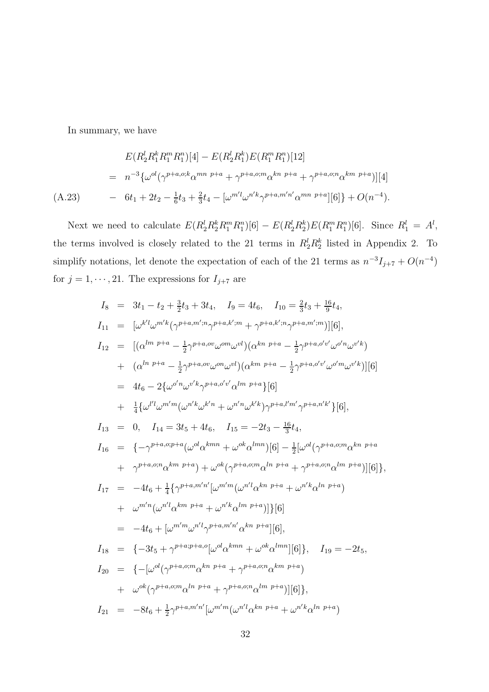In summary, we have

$$
E(R_2^l R_1^k R_1^m R_1^n)[4] - E(R_2^l R_1^k) E(R_1^m R_1^n)[12]
$$
  
=  $n^{-3} \{\omega^{ol}(\gamma^{p+a,o;k}\alpha^{mn p+a} + \gamma^{p+a,o;m}\alpha^{kn p+a} + \gamma^{p+a,o;n}\alpha^{km p+a})][4]$   
(A.23) 
$$
- 6t_1 + 2t_2 - \frac{1}{6}t_3 + \frac{2}{3}t_4 - [\omega^{m'l}\omega^{n'k}\gamma^{p+a,m'n'}\alpha^{mn p+a}][6]\} + O(n^{-4}).
$$

Next we need to calculate  $E(R_2^l R_2^k R_1^m R_1^n)[6] - E(R_2^l R_2^k)E(R_1^m R_1^n)[6]$ . Since  $R_1^l = A^l$ , the terms involved is closely related to the 21 terms in  $R_2^l R_2^k$  listed in Appendix 2. To simplify notations, let denote the expectation of each of the 21 terms as  $n^{-3}I_{j+7} + O(n^{-4})$ for  $j = 1, \dots, 21$ . The expressions for  $I_{j+7}$  are

$$
I_{8} = 3t_{1} - t_{2} + \frac{3}{2}t_{3} + 3t_{4}, I_{9} = 4t_{6}, I_{10} = \frac{2}{3}t_{3} + \frac{16}{9}t_{4},
$$
  
\n
$$
I_{11} = [\omega^{k'l}\omega^{m'k}(\gamma^{p+a,m'n}\gamma^{p+a,k'm} + \gamma^{p+a,k'n}\gamma^{p+a,m'm})][6],
$$
  
\n
$$
I_{12} = [(\alpha^{lm \ p+a} - \frac{1}{2}\gamma^{p+a,\sigma\upsilon}\omega^{\sigma m}\omega^{vl})(\alpha^{kn \ p+a} - \frac{1}{2}\gamma^{p+a,\sigma'\upsilon}\omega^{\sigma n}\omega^{\upsilon'k})
$$
  
\n
$$
+ (\alpha^{ln \ p+a} - \frac{1}{2}\gamma^{p+a,\sigma\upsilon}\omega^{\sigma m}\omega^{vl})(\alpha^{km \ p+a} - \frac{1}{2}\gamma^{p+a,\sigma'\upsilon}\omega^{\sigma n}\omega^{\upsilon'k})][6]
$$
  
\n
$$
= 4t_{6} - 2\{\omega^{\sigma'n}\omega^{\upsilon'k}\gamma^{p+a,\sigma'\upsilon}\omega^{lm \ p+a} \} [6]
$$
  
\n
$$
+ \frac{1}{4}\{\omega^{l'l}\omega^{m'm}(\omega^{n'k}\omega^{k'n} + \omega^{n'n}\omega^{k'k})\gamma^{p+a,l'm'}\gamma^{p+a,n'k'}\}[6],
$$
  
\n
$$
I_{13} = 0, I_{14} = 3t_{5} + 4t_{6}, I_{15} = -2t_{3} - \frac{16}{3}t_{4},
$$
  
\n
$$
I_{16} = \{-\gamma^{p+a,\sigma;p+a}(\omega^{\upsilon d}\alpha^{kmn} + \omega^{\upsilon k}\alpha^{lmn})[6] - \frac{1}{2}[\omega^{\upsilon l}(\gamma^{p+a,\varsigma;m}\alpha^{kn \ p+a} + \gamma^{p+a,\varsigma;m}\alpha^{kn \ p+a} + \gamma^{p+a,\varsigma;m}\alpha^{km \ p+a})][6]\},
$$
  
\n
$$
I_{17} = -4t_{6} + \frac{1}{4}\{\gamma^{p+a,m'n'}[\omega^{m'm}(\omega^{n'l}\alpha^{kn \ p+a} + \omega^{n'k}\alpha^{ln \ p+a})]
$$
  
\n
$$
+ \omega^{m'n}(\omega^{n'l
$$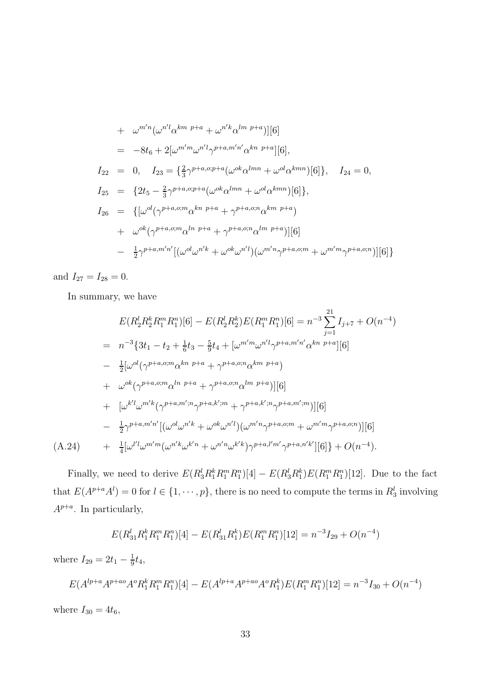+ 
$$
\omega^{m'n}(\omega^{n'l}\alpha^{km p+a} + \omega^{n'k}\alpha^{lm p+a})][6]
$$
  
\n=  $-8t_6 + 2[\omega^{m'm}\omega^{n'l}\gamma^{p+a,m'n'}\alpha^{kn p+a}][6],$   
\n $I_{22} = 0, I_{23} = \{\frac{2}{3}\gamma^{p+a,o;p+a}(\omega^{ok}\alpha^{lmn} + \omega^{ol}\alpha^{kmn})[6]\}, I_{24} = 0,$   
\n $I_{25} = \{2t_5 - \frac{2}{3}\gamma^{p+a,o;p+a}(\omega^{ok}\alpha^{lmn} + \omega^{ol}\alpha^{kmn})[6]\},$   
\n $I_{26} = \{[\omega^{ol}(\gamma^{p+a,o;m}\alpha^{kn p+a} + \gamma^{p+a,o;n}\alpha^{km p+a}) + \omega^{ok}(\gamma^{p+a,o;m}\alpha^{ln p+a} + \gamma^{p+a,o;n}\alpha^{lm p+a})][6]\}$   
\n $- \frac{1}{2}\gamma^{p+a,m'n'}[(\omega^{ol}\omega^{n'k} + \omega^{ok}\omega^{n'l})(\omega^{m'n}\gamma^{p+a,o;m} + \omega^{m'm}\gamma^{p+a,o;n})][6]\}$ 

and  $I_{27} = I_{28} = 0$ .

In summary, we have

$$
E(R_2^l R_2^k R_1^m R_1^n)[6] - E(R_2^l R_2^k) E(R_1^m R_1^n)[6] = n^{-3} \sum_{j=1}^{21} I_{j+7} + O(n^{-4})
$$
  
\n
$$
= n^{-3} \{3t_1 - t_2 + \frac{1}{6}t_3 - \frac{5}{9}t_4 + [\omega^{m'm}\omega^{n'l}\gamma^{p+a,m'n'}\alpha^{kn\ p+a}][6]
$$
  
\n
$$
- \frac{1}{2}[\omega^{ol}(\gamma^{p+a,o;m}\alpha^{kn\ p+a} + \gamma^{p+a,o;n}\alpha^{km\ p+a})
$$
  
\n
$$
+ \omega^{ok}(\gamma^{p+a,o;m}\alpha^{ln\ p+a} + \gamma^{p+a,o;n}\alpha^{lm\ p+a})][6]
$$
  
\n
$$
+ [\omega^{k'l}\omega^{m'k}(\gamma^{p+a,m';n}\gamma^{p+a,k';m} + \gamma^{p+a,k';n}\gamma^{p+a,m';m})][6]
$$
  
\n
$$
- \frac{1}{2}\gamma^{p+a,m'n'}[(\omega^{ol}\omega^{n'k} + \omega^{ok}\omega^{n'l})(\omega^{m'n}\gamma^{p+a,o;m} + \omega^{m'm}\gamma^{p+a,o;n})][6]
$$
  
\n(A.24) 
$$
+ \frac{1}{4}[\omega^{l'l}\omega^{m'm}(\omega^{n'k}\omega^{k'n} + \omega^{n'n}\omega^{k'k})\gamma^{p+a,l'm'}\gamma^{p+a,n'k'}][6]\} + O(n^{-4}).
$$

Finally, we need to derive  $E(R_3^l R_1^k R_1^m R_1^n)[4] - E(R_3^l R_1^k)E(R_1^m R_1^n)[12]$ . Due to the fact that  $E(A^{p+a}A^l) = 0$  for  $l \in \{1, \dots, p\}$ , there is no need to compute the terms in  $R_3^l$  involving  $A^{p+a}$ . In particularly,

$$
E(R_{31}^l R_1^k R_1^m R_1^n)[4] - E(R_{31}^l R_1^k)E(R_1^m R_1^n)[12] = n^{-3}I_{29} + O(n^{-4})
$$

where  $I_{29} = 2t_1 - \frac{1}{9}$  $rac{1}{9}t_4,$ 

 $E(A^{lp+a}A^{p+ao}A^oR_1^kR_1^mR_1^n)[4] - E(A^{lp+a}A^{p+ao}A^oR_1^k)E(R_1^mR_1^n)[12] = n^{-3}I_{30} + O(n^{-4})$ where  $I_{30} = 4t_6$ ,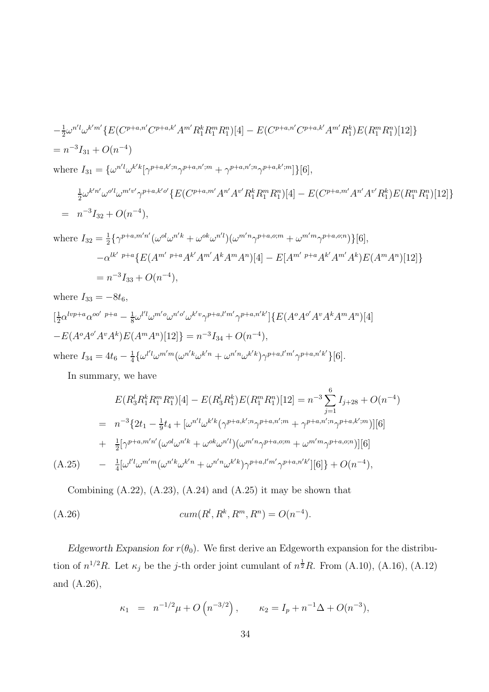$$
-\frac{1}{2}\omega^{n'l}\omega^{k'm'}\{E(C^{p+a,n'}C^{p+a,k'}A^{m'}R_1^kR_1^mR_1^n)[4] - E(C^{p+a,n'}C^{p+a,k'}A^{m'}R_1^k)E(R_1^mR_1^n)[12]\}
$$
  
=  $n^{-3}I_{31} + O(n^{-4})$   
where  $I_{31} = \{\omega^{n'l}\omega^{k'k}[\gamma^{p+a,k';n}\gamma^{p+a,n';m} + \gamma^{p+a,n';n}\gamma^{p+a,k';m}]\}[6],$ 

$$
\frac{1}{2}\omega^{k'n'}\omega^{o'l}\omega^{m'v'}\gamma^{p+a,k'o'}\{E(C^{p+a,m'}A^{n'}A^{v'}R_1^kR_1^mR_1^n)[4] - E(C^{p+a,m'}A^{n'}A^{v'}R_1^k)E(R_1^mR_1^n)[12]\}
$$
\n
$$
= n^{-3}I_{32} + O(n^{-4}),
$$

where  $I_{32}=\frac{1}{2}$  $\frac{1}{2} \{\gamma^{p+a,m'n'}(\omega^{ol}\omega^{n'k} + \omega^{ok}\omega^{n'l})(\omega^{m'n}\gamma^{p+a,o;m} + \omega^{m'm}\gamma^{p+a,o;n})\}[6],$  $-\alpha^{lk'}$  p+a $\{E(A^{m'}$  p+a $A^{k'}A^{m'}A^kA^mA^n)[4] - E[A^{m'}$  p+a $A^{k'}A^{m'}A^k)E(A^mA^n)[12]\}$  $= n^{-3}I_{33} + O(n^{-4}),$ 

where 
$$
I_{33} = -8t_6
$$
,  
\n
$$
[\frac{1}{2}\alpha^{lvp+a}\alpha^{oo'}\ p+a - \frac{1}{8}\omega^{l'l}\omega^{m'o}\omega^{n'o'}\omega^{k'v}\gamma^{p+a,l'm'}\gamma^{p+a,n'k'}]\{E(A^oA^{o'}A^vA^kA^mA^n)[4] - E(A^oA^{o'}A^vA^kA^k)E(A^mA^n)[12]\} = n^{-3}I_{34} + O(n^{-4}),
$$
\nwhere  $I_{34} = 4t_6 - \frac{1}{4}\{\omega^{l'l}\omega^{m'm}(\omega^{n'k}\omega^{k'n} + \omega^{n'n}\omega^{k'k})\gamma^{p+a,l'm'}\gamma^{p+a,n'k'}\}[6].$ 

In summary, we have

$$
E(R_3^l R_1^k R_1^m R_1^n)[4] - E(R_3^l R_1^k)E(R_1^m R_1^n)[12] = n^{-3} \sum_{j=1}^6 I_{j+28} + O(n^{-4})
$$
  
=  $n^{-3} \{2t_1 - \frac{1}{9}t_4 + [\omega^{n'l}\omega^{k'k}(\gamma^{p+a,k';n}\gamma^{p+a,n';m} + \gamma^{p+a,n';n}\gamma^{p+a,k';m})][6]$   
+  $\frac{1}{2}[\gamma^{p+a,m'n'}(\omega^{ol}\omega^{n'k} + \omega^{ok}\omega^{n'l})(\omega^{m'n}\gamma^{p+a, o; m} + \omega^{m'm}\gamma^{p+a, o; n})][6]$   
(A.25)  $-\frac{1}{4}[\omega^{l'l}\omega^{m'm}(\omega^{n'k}\omega^{k'n} + \omega^{n'n}\omega^{k'k})\gamma^{p+a,l'm'}\gamma^{p+a,n'k'}][6]\} + O(n^{-4}),$ 

Combining  $(A.22)$ ,  $(A.23)$ ,  $(A.24)$  and  $(A.25)$  it may be shown that

(A.26) 
$$
cum(R^l, R^k, R^m, R^n) = O(n^{-4}).
$$

Edgeworth Expansion for  $r(\theta_0)$ . We first derive an Edgeworth expansion for the distribution of  $n^{1/2}R$ . Let  $\kappa_j$  be the j-th order joint cumulant of  $n^{\frac{1}{2}}R$ . From (A.10), (A.16), (A.12) and (A.26),

$$
\kappa_1 = n^{-1/2}\mu + O(n^{-3/2}), \qquad \kappa_2 = I_p + n^{-1}\Delta + O(n^{-3}),
$$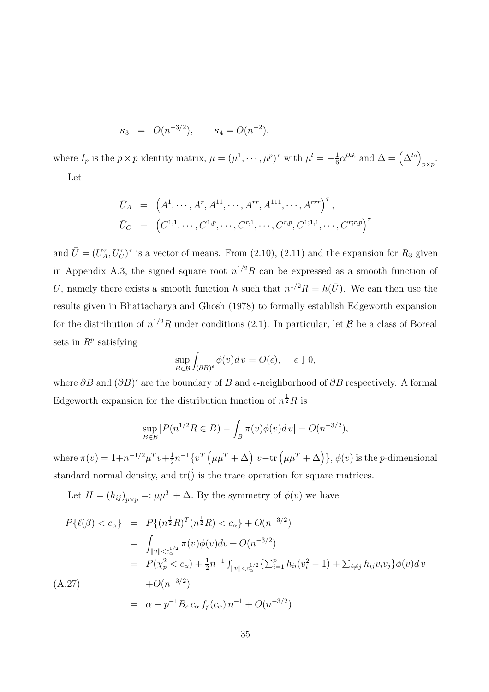$$
\kappa_3 = O(n^{-3/2}), \qquad \kappa_4 = O(n^{-2}),
$$

where  $I_p$  is the  $p \times p$  identity matrix,  $\mu = (\mu^1, \dots, \mu^p)^\tau$  with  $\mu^l = -\frac{1}{6}$  $\frac{1}{6} \alpha^{lkk}$  and  $\Delta = (\Delta^{lo})_{p \times p}$ . Let

$$
\bar{U}_A = (A^1, \cdots, A^r, A^{11}, \cdots, A^{rr}, A^{111}, \cdots, A^{rrr})^{\tau},
$$
  
\n
$$
\bar{U}_C = (C^{1,1}, \cdots, C^{1,p}, \cdots, C^{r,1}, \cdots, C^{r,p}, C^{1,1,1}, \cdots, C^{r,r,p})^{\tau}
$$

and  $\bar{U} = (U_A^{\tau}, U_C^{\tau})^{\tau}$  is a vector of means. From (2.10), (2.11) and the expansion for  $R_3$  given in Appendix A.3, the signed square root  $n^{1/2}R$  can be expressed as a smooth function of U, namely there exists a smooth function h such that  $n^{1/2}R = h(\bar{U})$ . We can then use the results given in Bhattacharya and Ghosh (1978) to formally establish Edgeworth expansion for the distribution of  $n^{1/2}R$  under conditions (2.1). In particular, let  $\mathcal{B}$  be a class of Boreal sets in  $R^p$  satisfying

$$
\sup_{B \in \mathcal{B}} \int_{(\partial B)^{\epsilon}} \phi(v) dv = O(\epsilon), \quad \epsilon \downarrow 0,
$$

where  $\partial B$  and  $(\partial B)^{\epsilon}$  are the boundary of B and  $\epsilon$ -neighborhood of  $\partial B$  respectively. A formal Edgeworth expansion for the distribution function of  $n^{\frac{1}{2}}R$  is

$$
\sup_{B \in \mathcal{B}} |P(n^{1/2}R \in B) - \int_B \pi(v)\phi(v)dv| = O(n^{-3/2}),
$$

where  $\pi(v) = 1 + n^{-1/2} \mu^T v + \frac{1}{2}$  $\frac{1}{2}n^{-1}\{v^T\left(\mu\mu^T+\Delta\right)\,v-{\rm tr}\left(\mu\mu^T+\Delta\right)\},$   $\phi(v)$  is the p-dimensional standard normal density, and  $\text{tr}(\dot{)}$  is the trace operation for square matrices.

Let  $H = (h_{ij})_{p \times p} =: \mu \mu^T + \Delta$ . By the symmetry of  $\phi(v)$  we have

$$
P\{\ell(\beta) < c_{\alpha}\} = P\{(n^{\frac{1}{2}}R)^{T}(n^{\frac{1}{2}}R) < c_{\alpha}\} + O(n^{-3/2})
$$
\n
$$
= \int_{\|v\| < c_{\alpha}^{1/2}} \pi(v)\phi(v)dv + O(n^{-3/2})
$$
\n
$$
= P(\chi_{p}^{2} < c_{\alpha}) + \frac{1}{2}n^{-1} \int_{\|v\| < c_{\alpha}^{1/2}} \{\sum_{i=1}^{p} h_{ii}(v_{i}^{2} - 1) + \sum_{i \neq j} h_{ij}v_{i}v_{j}\}\phi(v)dv
$$
\n(A.27)\n
$$
+ O(n^{-3/2})
$$
\n
$$
= \alpha - p^{-1}B_{c} c_{\alpha} f_{p}(c_{\alpha}) n^{-1} + O(n^{-3/2})
$$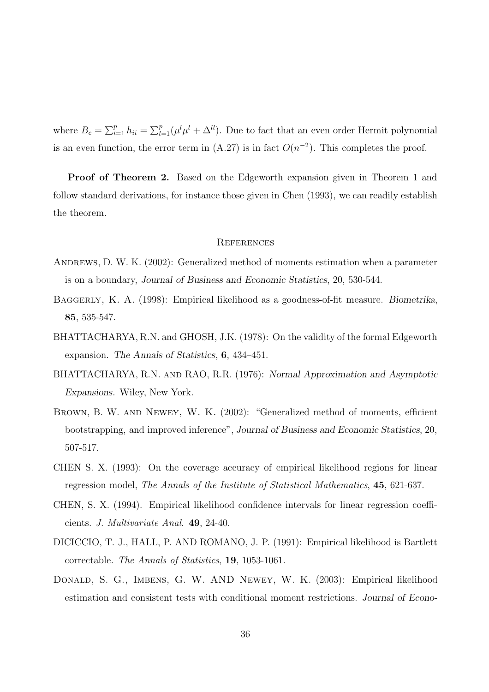where  $B_c = \sum_{i=1}^p h_{ii} = \sum_{l=1}^p (\mu^l \mu^l + \Delta^{ll})$ . Due to fact that an even order Hermit polynomial is an even function, the error term in  $(A.27)$  is in fact  $O(n^{-2})$ . This completes the proof.

Proof of Theorem 2. Based on the Edgeworth expansion given in Theorem 1 and follow standard derivations, for instance those given in Chen (1993), we can readily establish the theorem.

### **REFERENCES**

- Andrews, D. W. K. (2002): Generalized method of moments estimation when a parameter is on a boundary, Journal of Business and Economic Statistics, 20, 530-544.
- Baggerly, K. A. (1998): Empirical likelihood as a goodness-of-fit measure. Biometrika, 85, 535-547.
- BHATTACHARYA, R.N. and GHOSH, J.K. (1978): On the validity of the formal Edgeworth expansion. The Annals of Statistics, 6, 434–451.
- BHATTACHARYA, R.N. and RAO, R.R. (1976): Normal Approximation and Asymptotic Expansions. Wiley, New York.
- BROWN, B. W. AND NEWEY, W. K. (2002): "Generalized method of moments, efficient bootstrapping, and improved inference", Journal of Business and Economic Statistics, 20, 507-517.
- CHEN S. X. (1993): On the coverage accuracy of empirical likelihood regions for linear regression model, The Annals of the Institute of Statistical Mathematics, 45, 621-637.
- CHEN, S. X. (1994). Empirical likelihood confidence intervals for linear regression coefficients. J. Multivariate Anal. 49, 24-40.
- DICICCIO, T. J., HALL, P. AND ROMANO, J. P. (1991): Empirical likelihood is Bartlett correctable. The Annals of Statistics, 19, 1053-1061.
- Donald, S. G., Imbens, G. W. AND Newey, W. K. (2003): Empirical likelihood estimation and consistent tests with conditional moment restrictions. Journal of Econo-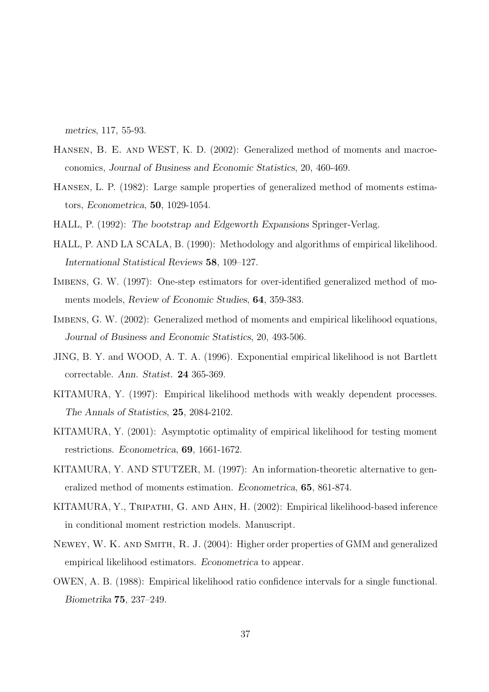metrics, 117, 55-93.

- Hansen, B. E. and WEST, K. D. (2002): Generalized method of moments and macroeconomics, Journal of Business and Economic Statistics, 20, 460-469.
- Hansen, L. P. (1982): Large sample properties of generalized method of moments estimators, Econometrica, 50, 1029-1054.
- HALL, P. (1992): The bootstrap and Edgeworth Expansions Springer-Verlag.
- HALL, P. AND LA SCALA, B. (1990): Methodology and algorithms of empirical likelihood. International Statistical Reviews 58, 109–127.
- IMBENS, G. W. (1997): One-step estimators for over-identified generalized method of moments models, Review of Economic Studies, 64, 359-383.
- IMBENS, G. W. (2002): Generalized method of moments and empirical likelihood equations, Journal of Business and Economic Statistics, 20, 493-506.
- JING, B. Y. and WOOD, A. T. A. (1996). Exponential empirical likelihood is not Bartlett correctable. Ann. Statist. 24 365-369.
- KITAMURA, Y. (1997): Empirical likelihood methods with weakly dependent processes. The Annals of Statistics, 25, 2084-2102.
- KITAMURA, Y. (2001): Asymptotic optimality of empirical likelihood for testing moment restrictions. Econometrica, 69, 1661-1672.
- KITAMURA, Y. AND STUTZER, M. (1997): An information-theoretic alternative to generalized method of moments estimation. Econometrica, 65, 861-874.
- KITAMURA, Y., Tripathi, G. and Ahn, H. (2002): Empirical likelihood-based inference in conditional moment restriction models. Manuscript.
- Newey, W. K. and Smith, R. J. (2004): Higher order properties of GMM and generalized empirical likelihood estimators. Econometrica to appear.
- OWEN, A. B. (1988): Empirical likelihood ratio confidence intervals for a single functional. Biometrika 75, 237–249.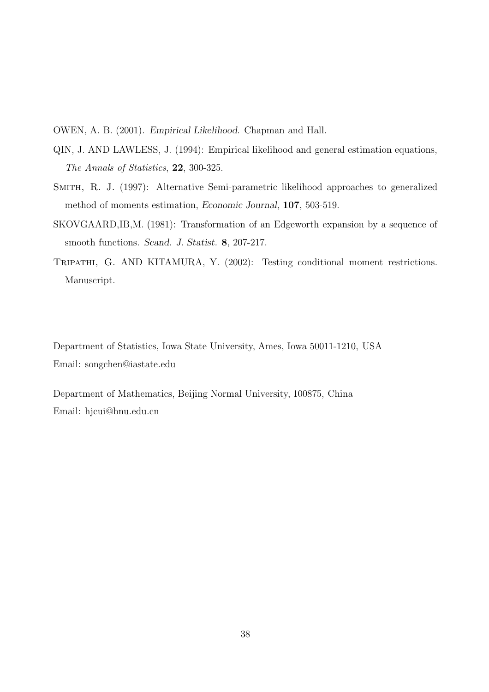OWEN, A. B. (2001). Empirical Likelihood. Chapman and Hall.

- QIN, J. AND LAWLESS, J. (1994): Empirical likelihood and general estimation equations, The Annals of Statistics, 22, 300-325.
- SMITH, R. J. (1997): Alternative Semi-parametric likelihood approaches to generalized method of moments estimation, Economic Journal, 107, 503-519.
- SKOVGAARD,IB,M. (1981): Transformation of an Edgeworth expansion by a sequence of smooth functions. Scand. J. Statist. 8, 207-217.
- Tripathi, G. AND KITAMURA, Y. (2002): Testing conditional moment restrictions. Manuscript.

Department of Statistics, Iowa State University, Ames, Iowa 50011-1210, USA Email: songchen@iastate.edu

Department of Mathematics, Beijing Normal University, 100875, China Email: hjcui@bnu.edu.cn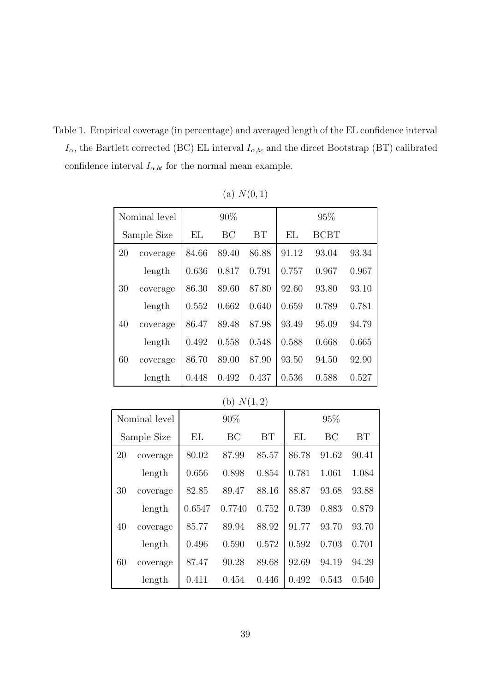Table 1. Empirical coverage (in percentage) and averaged length of the EL confidence interval  $I_{\alpha}$ , the Bartlett corrected (BC) EL interval  $I_{\alpha, bc}$  and the dircet Bootstrap (BT) calibrated confidence interval  $I_{\alpha, bt}$  for the normal mean example.

| Nominal level |          |        | 90%       |       |       | 95%         |       |  |
|---------------|----------|--------|-----------|-------|-------|-------------|-------|--|
| Sample Size   |          | EL     | BC        | BT    | EL    | <b>BCBT</b> |       |  |
| 20            | coverage | 84.66  | 89.40     | 86.88 | 91.12 | 93.04       | 93.34 |  |
|               | length   | 0.636  | 0.817     | 0.791 | 0.757 | 0.967       | 0.967 |  |
| 30            | coverage | 86.30  | 89.60     | 87.80 | 92.60 | 93.80       | 93.10 |  |
|               | length   | 0.552  | 0.662     | 0.640 | 0.659 | 0.789       | 0.781 |  |
| 40            | coverage | 86.47  | 89.48     | 87.98 | 93.49 | 95.09       | 94.79 |  |
|               | length   | 0.492  | 0.558     | 0.548 | 0.588 | 0.668       | 0.665 |  |
| 60            | coverage | 86.70  | 89.00     | 87.90 | 93.50 | 94.50       | 92.90 |  |
|               | length   | 0.448  | 0.492     | 0.437 | 0.536 | 0.588       | 0.527 |  |
| (b) $N(1,2)$  |          |        |           |       |       |             |       |  |
| Nominal level |          |        | 90%       |       |       | 95%         |       |  |
| Sample Size   |          | EL     | <b>BC</b> | BT    | EL    | BC          | BT    |  |
| 20            | coverage | 80.02  | 87.99     | 85.57 | 86.78 | 91.62       | 90.41 |  |
|               | length   | 0.656  | 0.898     | 0.854 | 0.781 | 1.061       | 1.084 |  |
| 30            | coverage | 82.85  | 89.47     | 88.16 | 88.87 | 93.68       | 93.88 |  |
|               | length   | 0.6547 | 0.7740    | 0.752 | 0.739 | 0.883       | 0.879 |  |

(a)  $N(0, 1)$ 

40 coverage 85.77 89.94 88.92 91.77 93.70 93.70

60 coverage 87.47 90.28 89.68 92.69 94.19 94.29

length 0.496 0.590 0.572 0.592 0.703 0.701

length 0.411 0.454 0.446 0.492 0.543 0.540